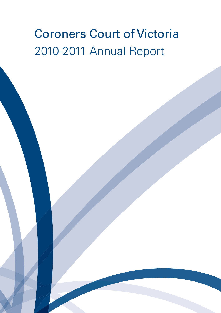# Coroners Court of Victoria 2010-2011 Annual Report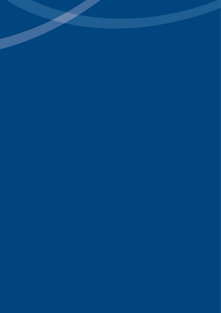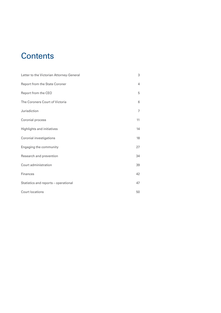## **Contents**

| Letter to the Victorian Attorney-General | 3  |
|------------------------------------------|----|
| Report from the State Coroner            | 4  |
| Report from the CEO                      | 5  |
| The Coroners Court of Victoria           | 6  |
| Jurisdiction                             | 7  |
| Coronial process                         | 11 |
| Highlights and initiatives               | 14 |
| Coronial investigations                  | 18 |
| Engaging the community                   | 27 |
| Research and prevention                  | 34 |
| Court administration                     | 39 |
| Finances                                 | 42 |
| Statistics and reports - operational     | 47 |
| Court locations                          | 50 |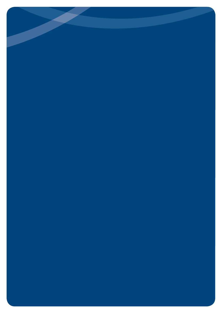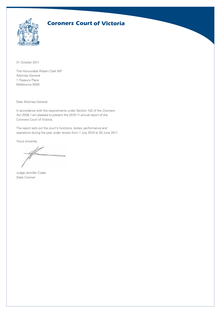

## *Coroners Court of Victoria*

31 October 2011

The Honourable Robert Clark MP Attorney-General 1 Treasury Place Melbourne 3000

Dear Attorney-General

In accordance with the requirements under Section 102 of the *Coroners Act 2008,* I am pleased to present the 2010-11 annual report of the Coroners Court of Victoria.

The report sets out the court's functions, duties, performance and operations during the year under review from 1 July 2010 to 30 June 2011.

Yours sincerely

Judge Jennifer Coate State Coroner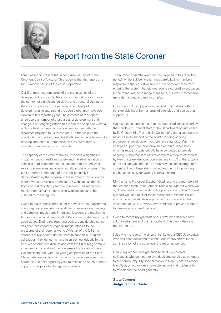

## Report from the State Coroner

I am pleased to present the second Annual Report of the Coroners Court of Victoria. This report is the first report on a full 12-month period of the court's operation.

Our first report set out some of the complexities of the development required by the court in the first reporting year in the context of significant legislative and structural change to the court's operation. The pace and complexity of developments in and around the court's operation have not slowed in this reporting year. The contents of this report underscore a number of those areas of development and change in our ongoing efforts to provide the people of Victoria with the best modern coronial system we can with the resources provided to us by the State. In the wake of the introduction of the *Coroners Act 2008,* we continue to strive to develop and refine our processes to fulfil our statutory obligations and serve our community

The capacity of the work of the court to have a significant impact on public health and safety and the administration of justice is readily apparent in the section of this report which extracts some investigations of significant public interest. The public interest in the work of the court generally is demonstrated by the increase in the number of "hits" on the court's website. Access to the court's website has doubled from our first reporting year to our second. The resources required to maintain an up to date website appear to be justified by these figures.

I wish to make special mention of the work of the magistrates in our regional areas. As our work becomes more demanding and complex, magistrates in regional locations are required to fit their coronial work around all of their other multi-jurisdictional court duties. During the reporting period, considerable concern has been expressed by regional magistrates as to the pressures of their coronial work. Whilst all of the full-time coroners at Melbourne do their best to support our regional colleagues, their concerns have been acknowledged. To this end, we entered into discussions with the Chief Magistrate in an endeavour to address the concerns of regional coroners. We anticipate that, with the willing cooperation of the Chief Magistrate, we will be in a position to provide a regional roving coroner in the next reporting year, to enable the much-needed support to be provided to regional coroners.

The number of deaths reported has dropped in this reporting period. Whilst still being examined carefully, this may be a response to the legislative aim to strive to avoid cases from entering the system that did not require a coronial investigation. In the meantime, for a range of reasons, our work has become more demanding and more complex.

Our court could simply not do the work that it does without considerable input from a range of agencies and bodies that support us.

We have been, and continue to be, supported and assisted by the Courts and Tribunal staff of the Department of Justice led by Dr Graham Hill. The Judicial College of Victoria continues to be active in its support of the court providing ongoing professional development for coroners statewide. With the college's support we now have an electronic bench book which is regularly updated. We have continued to provide ongoing bi-monthly seminars to coroners on topics of interest by way of statewide video conferencing link. With the support of the college we conducted a two-day residential program for coroners. The college also provided another full day writing course specifically for writing coronial findings.

My thanks to Professor Stephen Cordner and the members of the Victorian Institute of Forensic Medicine, without whom we could not perform our work, to the police in our Police Coronial Support Unit and to all of those members of Victoria Police who provide investigative support to our court and to the volunteers of Court Network who continue to provide support to families who attend the court.

I wish to record my gratitude to our staff who deserve both acknowledgment and thanks for the difficult work they are required to do.

I also wish to record my sincere thanks to our CEO Judy Leitch who has been dedicated to continuous improvement in the administration of the court over the reporting period.

Finally, my respect and gratitude to all of my coronial colleagues who continue to give dedicated service as coroners to our community. My special thanks to Deputy State Coroner Iain West, who provides invaluable support and guidance both to myself and the court generally.

**State Coroner Judge Jennifer Coate**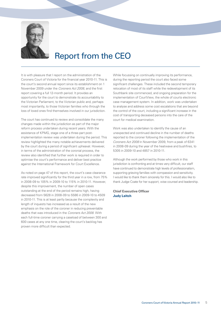

## Report from the CEO

It is with pleasure that I report on the administration of the Coroners Court of Victoria for the financial year 2010-11. This is the court's second annual report since its establishment on 1 November 2009 under the *Coroners Act 2008*, and the first report covering a full 12-month period. It provides an opportunity for the court to demonstrate its accountability to the Victorian Parliament, to the Victorian public and, perhaps most importantly, to those Victorian families who through the loss of loved ones find themselves involved in our jurisdiction.

The court has continued to review and consolidate the many changes made within the jurisdiction as part of the major reform process undertaken during recent years. With the assistance of KPMG, stage one of a three-part postimplementation review was undertaken during the period. This review highlighted the many notable achievements delivered by the court during a period of significant upheaval. However, in terms of the administration of the coronial process, the review also identified that further work is required in order to optimise the court's performance and deliver best practice against the International Framework for Court Excellence.

As noted on page 47 of this report, the court's case clearance rate improved significantly for the third year in a row, from 75% in 2008-09 to 105% in 2009-10 to 115% in 2010-11. However, despite this improvement, the number of open cases outstanding at the end of the period remains high, having decreased from 5628 in 2008-09 to 5586 in 2009-10 to 4509 in 2010-11. This is at least partly because the complexity and length of inquests has increased as a result of the new emphasis on the role of the coroner in reducing preventable deaths that was introduced in the *Coroners Act 2008.* With each full-time coroner carrying a caseload of between 300 and 600 cases at any one time, clearing the court's backlog has proven more difficult than expected.

While focussing on continually improving its performance, during the reporting period the court also faced some significant challenges. These included the second temporary relocation of most of its staff while the redevelopment of its Southbank site commenced, and ongoing preparation for the implementation of CourtView, the whole of courts electronic case management system. In addition, work was undertaken to analyse and address some cost escalations that are beyond the control of the court, including a significant increase in the cost of transporting deceased persons into the care of the court for medical examination.

Work was also undertaken to identify the cause of an unexpected and continued decline in the number of deaths reported to the coroner following the implementation of the *Coroners Act 2008* in November 2009, from a peak of 6341 in 2008-09 during the year of the heatwave and bushfires, to 5305 in 2009-10 and 4857 in 2010-11.

Although the work performed by those who work in this jurisdiction is confronting and at times very difficult, our staff have continued to demonstrate high levels of professionalism, supporting grieving families with compassion and sensitivity. I would like to thank them sincerely for this. I would also like to thank Judge Coate for her support, wise counsel and leadership.

**Chief Executive Officer Judy Leitch**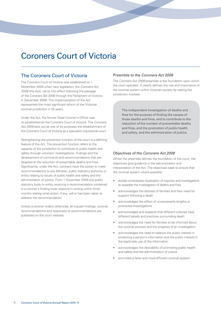## Coroners Court of Victoria

### The Coroners Court of Victoria

The Coroners Court of Victoria was established on 1 November 2009 when new legislation, the *Coroners Act 2008* (the Act), came into effect following the passage of the Coroners Bill 2008 through the Parliament of Victoria in December 2008. The implementation of the Act represented the most significant reform of the Victorian coronial jurisdiction in 25 years.

Under the Act, the former State Coroner's Office was re-established as the Coroners Court of Victoria. The *Coroners Act 2008* sets out as one of its purposes the establishment of the Coroners Court of Victoria as a specialist inquisitorial court.

Strengthening the prevention function of the court is a defining feature of the Act. The prevention function refers to the capacity of the jurisdiction to contribute to public health and safety through coroners' investigations, findings and the development of comments and recommendations that are targeted at the reduction of preventable deaths and fires. Significantly, under the Act, coroners have the power to make recommendations to any Minister, public statutory authority or entity relating to issues of public health and safety and the administration of justice. From 1 November 2009 any public statutory body or entity receiving a recommendation contained in a coroner's finding must respond in writing within three months stating what action, if any, will or has been taken to address the recommendation.

Unless a coroner orders otherwise, all inquest findings, coronial recommendations and responses to recommendations are published on the court website.

#### Preamble to the *Coroners Act 2008*

The *Coroners Act 2008* preamble is the foundation upon which the court operates. It clearly defines the role and importance of the coronial system within Victorian society by stating the jurisdiction involves:

> The independent investigation of deaths and fires for the purpose of finding the causes of those deaths and fires, and to contribute to the reduction of the number of preventable deaths and fires, and the promotion of public health and safety, and the administration of justice.

#### Objectives of the *Coroners Act 2008*

Whilst the preamble defines the foundation of the court, the objectives give guidance in the administration and interpretation of the Act. The objectives seek to ensure that the coronial system where possible:

- avoids unnecessary duplication of inquiries and investigations to expedite the investigation of deaths and fires
- acknowledges the distress of families and their need for support following a death
- acknowledges the effect of unnecessarily lengthy or protracted investigations
- acknowledges and respects that different cultures have different beliefs and practices surrounding death
- acknowledges the need for families to be informed about the coronial process and the progress of an investigation
- acknowledges the need to balance the public interest in protecting a person's information and the public interest in the legitimate use of the information
- acknowledges the desirability of promoting public health and safety and the administration of justice
- promotes a fairer and more efficient coronial system.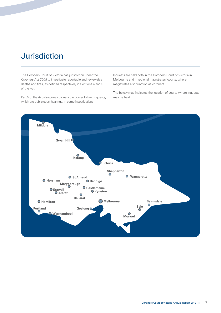## **Jurisdiction**

The Coroners Court of Victoria has jurisdiction under the *Coroners Act 2008* to investigate reportable and reviewable deaths and fires, as defined respectively in Sections 4 and 5 of the Act.

Part 5 of the Act also gives coroners the power to hold inquests, which are public court hearings, in some investigations.

Inquests are held both in the Coroners Court of Victoria in Melbourne and in regional magistrates' courts, where magistrates also function as coroners.

The below map indicates the location of courts where inquests may be held.

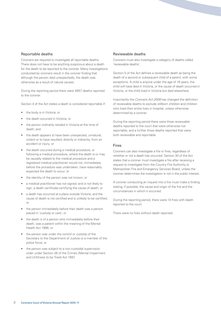#### Reportable deaths

Coroners are required to investigate all reportable deaths. There does not have to be anything suspicious about a death for the death to be reported to the coroner. Many investigations conducted by coroners result in the coroner finding that although the person died unexpectedly, the death was otherwise as a result of natural causes.

During the reporting period there were 4857 deaths reported to the coroner.

Section 4 of the Act states a death is considered reportable if:

- the body is in Victoria; or
- the death occurred in Victoria; or
- the person ordinarily resided in Victoria at the time of death; and
- the death appears to have been unexpected, unnatural, violent or to have resulted, directly or indirectly, from an accident or injury; or
- the death occurred during a medical procedure, or following a medical procedure, where the death is or may be causally related to the medical procedure and a registered medical practitioner would not, immediately before the procedure was undertaken, have reasonably expected the death to occur; or
- the identity of the person was not known; or
- a medical practitioner has not signed, and is not likely to sign, a death certificate certifying the cause of death; or
- a death has occurred at a place outside Victoria, and the cause of death is not certified and is unlikely to be certified; or
- the person immediately before their death was a person placed in 'custody or care'; or
- the death is of a person who immediately before their death, was a patient within the meaning of the Mental Health Act 1986; or
- the person was under the control or custody of the Secretary to the Department of Justice or a member of the police force; or
- the person was subject to a non-custodial supervision order under Section 26 of the Crimes (Mental Impairment and Unfitness to be Tried) Act 1997

#### Reviewable deaths

Coroners must also investigate a category of deaths called 'reviewable deaths'.

Section 5 of the Act defines a reviewable death as being the death of a second or subsequent child of a parent, with some exceptions. A child is anyone under the age of 18 years, the child will have died in Victoria, or the cause of death occurred in Victoria, or the child lived in Victoria but died elsewhere.

Importantly the *Coroners Act 2008* has changed the definition of reviewable deaths to exclude stillborn children and children who lived their entire lives in hospital, unless otherwise determined by a coroner.

During the reporting period there were three reviewable deaths reported to the court that were otherwise not reportable, and a further three deaths reported that were both reviewable and reportable.

#### Fires

Coroners can also investigate a fire or fires, regardless of whether or not a death has occurred. Section 30 of the Act states that a coroner must investigate a fire after receiving a request to investigate from the Country Fire Authority or Metropolitan Fire and Emergency Services Board, unless the coroner determines the investigation is not in the public interest.

A coroner conducting an inquest into a fire must make a finding stating, if possible, the cause and origin of the fire and the circumstances in which it occurred.

During the reporting period, there were 14 fires with death reported to the court.

There were no fires without death reported.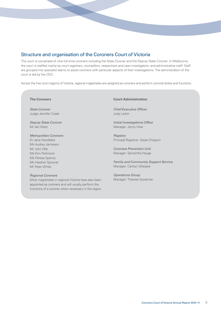## Structure and organisation of the Coroners Court of Victoria

The court is comprised of nine full-time coroners including the State Coroner and the Deputy State Coroner. In Melbourne, the court is staffed mainly by court registrars, counsellors, researchers and case investigators, and administrative staff. Staff are grouped into specialist teams to assist coroners with particular aspects of their investigations. The administration of the court is led by the CEO.

Across the five court regions of Victoria, regional magistrates are assigned as coroners and perform coronial duties and functions.

#### **The Coroners**

*State Coroner* Judge Jennifer Coate

*Deputy State Coroner* Mr Iain West

#### *Metropolitan Coroners* Dr Jane Hendtlass Ms Audrey Jamieson Mr John Olle Ms Kim Parkinson Ms Paresa Spanos Ms Heather Spooner

#### *Regional Coroners*

Mr Peter White

Most magistrates in regional Victoria have also been appointed as coroners and will usually perform the functions of a coroner when necessary in the region.

#### **Court Administration**

**Chief Executive Officer** Judy Leitch

*Initial Investigations Office* Manager: Jenny Hoar

*Registry* Principal Registrar: Gayle Chirgwin

*Coroners Prevention Unit* Manager: Samantha Hauge

*Family and Community Support Service* Manager: Carolyn Gillespie

*Operations Group* Manager: Therese Goodman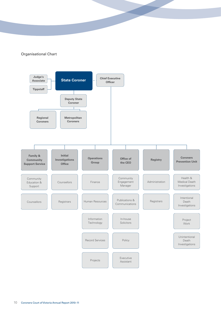Organisational Chart

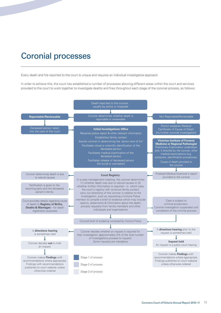## Coronial processes

Every death and fire reported to the court is unique and requires an individual investigative approach.

In order to achieve this, the court has established a number of processes allowing different areas within the court and services provided to the court to work together to investigate deaths and fires throughout each stage of the coronial process, as follows:

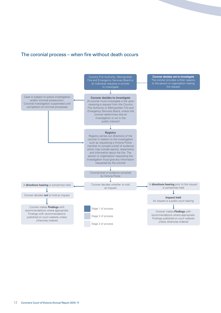### The coronial process – when fire without death occurs

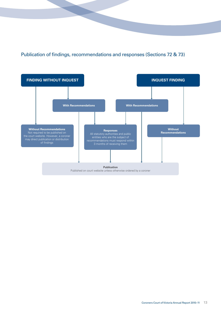Publication of findings, recommendations and responses (Sections 72 & 73)

 $\blacktriangleright$ 

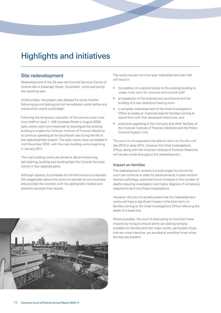## Highlights and initiatives

### Site redevelopment

Redevelopment of the 23-year-old Coronial Services Centre of Victoria site in Kavanagh Street, Southbank, continued during the reporting year.

Unfortunately, the project was delayed for some months following ground testing and soil remediation works before any construction works could begin.

Following the temporary relocation of the coroners and most court staff to Level 1, 436 Lonsdale Street in August 2009, early works were commissioned to reconfigure the existing building to enable the Victorian Institute of Forensic Medicine to continue operating at the Southbank site during the life of the redevelopment project. The early works were completed in mid-December 2010, with the main building works beginning in January 2011.

The main building works are aimed at decommissioning, demolishing, building and handing back the Coronial Services Centre in four separate parts.

Although capacity to complete its normal functions is reduced, this staged plan allows the centre to operate its core business and provides the coroners with the appropriate medical and scientific services they require.

The works are part of a four-year redevelopment plan that will result in:

- the addition of a second storey to the existing building to create more room for coroners and coronial staff
- an expansion of the existing two courtrooms and the building of a new directions hearing room
- a complete redevelopment of the Initial Investigations Office to create an improved area for families coming to spend time with their deceased loved ones; and
- extensive upgrading of the mortuary and other facilities of the Victorian Institute of Forensic Medicine and the Police Coronial Support Unit.

The court is not expected to be able to return to the site until late 2013 or early 2014, however the Initial Investigations Office, along with the Victorian Institute of Forensic Medicine, will remain onsite throughout the redevelopment.

#### Impact on families

The redevelopment remains a crucial project to ensure the court can continue to cater for advancements in post-mortem forensic pathology, expected future increases in the number of deaths requiring investigation and higher degrees of complexity required to carry out those investigations.

However, the court is acutely aware that the redevelopment works will have a significant impact in the short-term on families coming to the Initial Investigations Office following the death of a loved one.

Where possible, the court is attempting to minimise those impacts by trying to ensure some car parking remains available for families and that major works, particularly those that are noise intensive, are avoided at sensitive times when families are present.

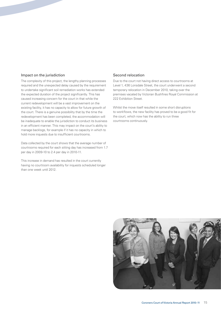#### Impact on the jurisdiction

The complexity of this project, the lengthy planning processes required and the unexpected delay caused by the requirement to undertake significant soil remediation works has extended the expected duration of the project significantly. This has caused increasing concern for the court in that while the current redevelopment will be a vast improvement on the existing facility, it has no capacity to allow for future growth of the court. There is a genuine possibility that by the time the redevelopment has been completed, the accommodation will be inadequate to enable the jurisdiction to conduct its business in an efficient manner. This may impact on the court's ability to manage backlogs, for example if it has no capacity in which to hold more inquests due to insufficient courtrooms.

Data collected by the court shows that the average number of courtrooms required for each sitting day has increased from 1.7 per day in 2009-10 to 2.4 per day in 2010-11.

This increase in demand has resulted in the court currently having no courtroom availability for inquests scheduled longer than one week until 2012.

#### Second relocation

Due to the court not having direct access to courtrooms at Level 1, 436 Lonsdale Street, the court underwent a second temporary relocation in December 2010, taking over the premises vacated by Victorian Bushfires Royal Commission at 222 Exhibition Street.

Whilst the move itself resulted in some short disruptions to workflows, the new facility has proved to be a good fit for the court, which now has the ability to run three courtrooms continuously.

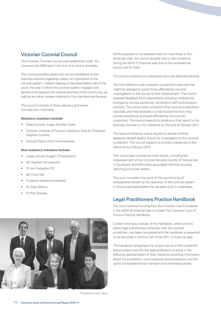## Victorian Coronial Council

The Victorian Coronial Council was established under the *Coroners Act 2008* and is the first of its kind in Australia.

The council provides advice and recommendations to the Attorney-General regarding matters of importance to the coronial system, matters relating to the preventative role of the court, the way in which the coronial system engages with families and respects the cultural diversity of the community, as well as any other matters referred to it by the Attorney-General.

The council consists of three statutory and seven non-statutory members.

#### **Statutory members include:**

- State Coroner Judge Jennifer Coate
- Victorian Institute of Forensic Medicine Director Professor Stephen Cordner
- Victoria Police Chief Commissioner.

#### **Non-statutory members include:**

- Judge James Duggan (Chairperson)
- Mr Stephen Dimopoulos
- Dr Ian Freckelton SC
- Mr Chris Hall
- Professor Katherine McGrath
- Dr Sally Wilkins
- Dr Rob Roseby.



Photograph by Janti Lakusa

While expected on its establishment to meet three to four times per year, the council actually met on ten occasions during the 2010-11 financial year due to the workload the council set for itself.

The council received two references from the Attorney-General.

The first reference was a request to examine measures that might be adopted to assist those affected by coronial investigations in the course of their employment. The council received feedback from respondents including medical and emergency service personnel, corrections staff and transport workers. The council also contacted other coronial jurisdictions nationally and internationally in a bid to examine how they provide assistance to people affected by the coronial jurisdiction. The council expects to produce a final report to the Attorney-General on this reference by the end of October 2011.

The second reference was a request to advise whether asbestos-related deaths should be investigated by the coronial jurisdiction. The council expects to provide a response to this reference by February 2012.

The council also considered other issues, including the redevelopment of the Coronial Services Centre of Victoria site in Southbank and difficulties associated with the accurate reporting of suicide deaths.

The court considers the work of the council to be of considerable benefit to the operation of the coronial system in Victoria and appreciates the valuable work it undertakes.

### Legal Practitioners Practice Handbook

The court received funding from the Victorian Law Foundation in the 2009-10 financial year to create The Coroners Court of Victoria Practice Handbook.

Content and layout design of the handbook, which aims to assist legal practitioners unfamiliar with the coronial jurisdiction, has been completed and the handbook is expected to be launched in the first half of the 2011-12 financial year.

The handbook recognises the unique nature of this jurisdiction and provides a tool for the legal profession to assist in the effective representation of their clients by providing information about the jurisdiction, court practices and procedures, and the rights of bereaved family members and interested parties.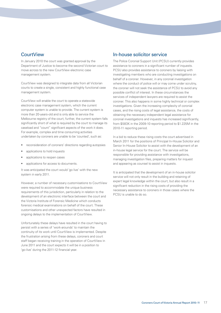### **CourtView**

In January 2010 the court was granted approval by the Department of Justice to become the second Victorian court to move across to the new CourtView electronic case management system.

CourtView was designed to integrate data from all Victorian courts to create a single, consistent and highly functional case management system.

CourtView will enable the court to operate a statewide electronic case management system, which the current computer system is unable to provide. The current system is more than 20-years-old and is only able to service the Melbourne registry of the court, further, the current system falls significantly short of what is required by the court to manage its caseload and "count" significant aspects of the work it does. For example, complex and time consuming activities undertaken by coroners are unable to be 'counted', such as:

- reconsideration of coroners' directions regarding autopsies
- applications to hold inquests
- applications to reopen cases
- applications for access to documents.

It was anticipated the court would 'go live' with the new system in early 2011.

However, a number of necessary customisations to CourtView were required to accommodate the unique business requirements of this jurisdiction, particularly in relation to the development of an electronic interface between the court and the Victoria Institute of Forensic Medicine which conducts forensic medical examinations on behalf of the court. These customisations and other unexpected factors have resulted in ongoing delays to the implementation of CourtView.

Unfortunately these delays have resulted in the court having to persist with a series of 'work-arounds' to maintain the continuity of its work until CourtView is implemented. Despite the frustration arising from these delays, coroners and court staff began receiving training in the operation of CourtView in June 2011 and the court expects it will be in a position to 'go-live' during the 2011-12 financial year.

### In-house solicitor service

The Police Coronial Support Unit (PCSU) currently provides assistance to coroners in a significant number of inquests. PCSU also provides assistance to coroners by liaising with investigating members who are conducting investigations on behalf of a coroner. However, in any coronial investigation where the conduct of police will or may come under scrutiny, the coroner will not seek the assistance of PCSU to avoid any possible conflict of interest. In these circumstances the services of independent lawyers are required to assist the coroner. This also happens in some highly technical or complex investigations. Given the increasing complexity of coronial cases, and the rising costs of legal assistance, the costs of obtaining the necessary independent legal assistance for coronial investigations and inquests has increased significantly, from \$583K in the 2009-10 reporting period to \$1.225M in the 2010-11 reporting period.

In a bid to reduce these rising costs the court advertised in March 2011 for the positions of Principal In-House Solicitor and Senior In-House Solicitor to assist with the development of an in-house legal service for the court. The service will be responsible for providing assistance with investigations, managing investigation files, preparing matters for inquest and appearing as counsel to assist in inquests.

It is anticipated that the development of an in-house solicitor service will not only result in the building and retaining of expert legal knowledge within the court, but also result in a significant reduction in the rising costs of providing the necessary assistance to coroners in those cases where the PCSU is unable to do so.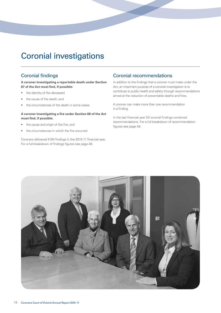## Coronial investigations

### **Coronial findings**

**A coroner investigating a reportable death under Section 67 of the Act must find, if possible:** 

- the identity of the deceased
- the cause of the death; and
- the circumstances of the death in some cases.

#### A coroner investigating a fire under Section 68 of the Act must find, if possible:

- the cause and origin of the fire; and
- the circumstances in which the fire occurred.

Coroners delivered 5194 findings in the 2010-11 financial year. For a full breakdown of findings figures see page 48.

### Coronial recommendations

In addition to the findings that a coroner must make under the Act, an important purpose of a coronial investigation is to contribute to public health and safety through recommendations aimed at the reduction of preventable deaths and fires.

A coroner can make more than one recommendation in a finding.

In the last financial year 53 coronial findings contained recommendations. For a full breakdown of recommendation figures see page 48.

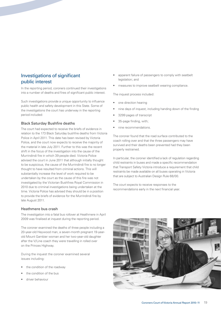## Investigations of significant public interest

In the reporting period, coroners continued their investigations into a number of deaths and fires of significant public interest.

Such investigations provide a unique opportunity to influence public health and safety development in this State. Some of the investigations the court has underway in the reporting period included:

#### **Black Saturday Bushfire deaths**

The court had expected to receive the briefs of evidence in relation to the 173 Black Saturday bushfire deaths from Victoria Police in April 2011. This date has been revised by Victoria Police, and the court now expects to receive the majority of the material in late July 2011. Further to this was the recent shift in the focus of the investigation into the cause of the Murrindindi fire in which 39 people died. Victoria Police advised the court in June 2011 that although initially thought to be suspicious, the cause of the Murrindindi fire is no longer thought to have resulted from criminal actions. This will substantially increase the level of work required to be undertaken by the court as the cause of this fire was not investigated by the Victorian Bushfires Royal Commission in 2010 due to criminal investigations being undertaken at the time. Victoria Police has advised they should be in a position to provide the briefs of evidence for the Murrindindi fire by late August 2011.

#### Heathmere bus crash

The investigation into a fatal bus rollover at Heathmere in April 2009 was finalised at inquest during the reporting period.

The coroner examined the deaths of three people including a 20-year-old Heywood man, a seven-month pregnant 19-yearold Mount Gambier woman and her two-year-old daughter after the V/Line coach they were travelling in rolled over on the Princes Highway.

During the inquest the coroner examined several issues including:

- the condition of the roadway
- the condition of the bus
- driver behaviour
- apparent failure of passengers to comply with seatbelt legislation; and
- measures to improve seatbelt wearing compliance.

The inquest process included:

- one direction hearing
- nine days of inquest, including handing down of the finding
- 3299 pages of transcript
- 35-page finding, with;
- nine recommendations.

The coroner found that the road surface contributed to the coach rolling over and that the three passengers may have survived and their deaths been prevented had they been properly restrained.

In particular, the coroner identified a lack of regulation regarding child restraints in buses and made a specific recommendation that Transport Safety Victoria introduce a requirement that child restraints be made available on all buses operating in Victoria that are subject to Australian Design Rule 68/00.

The court expects to receive responses to the recommendations early in the next financial year.

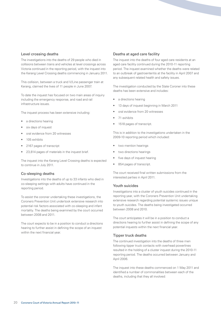#### Level crossing deaths

The investigations into the deaths of 29 people who died in collisions between trains and vehicles at level crossings across Victoria continued in the reporting period, with the inquest into the Kerang Level Crossing deaths commencing in January 2011.

This collision, between a truck and V/Line passenger train at Kerang, claimed the lives of 11 people in June 2007.

To date the inquest has focused on two main areas of inquiry including the emergency response, and road and rail infrastructure issues.

The inquest process has been extensive including:

- a directions hearing
- six days of inquest
- oral evidence from 20 witnesses
- 105 exhibits
- 2167 pages of transcript
- 23,814 pages of materials in the inquest brief.

The inquest into the Kerang Level Crossing deaths is expected to continue in July 2011.

#### Co-sleeping deaths

Investigations into the deaths of up to 33 infants who died in co-sleeping settings with adults have continued in the reporting period.

To assist the coroner undertaking these investigations, the Coroners Prevention Unit undertook extensive research into potential risk factors associated with co-sleeping and infant mortality. The deaths being examined by the court occurred between 2008 and 2011.

The court expects to be in a position to conduct a directions hearing to further assist in defining the scope of an inquest within the next financial year.

#### Deaths at aged care facility

The inquest into the deaths of four aged care residents at an aged care facility continued during the 2010-11 reporting period. The inquest examined whether the deaths were related to an outbreak of gastroenteritis at the facility in April 2007 and any subsequent related health and safety issues.

The investigation conducted by the State Coroner into these deaths has been extensive and includes:

- a directions hearing
- 13 days of inquest beginning in March 2011
- oral evidence from 20 witnesses
- 71 exhibits
- 1518 pages of transcript.

This is in addition to the investigations undertaken in the 2009-10 reporting period which included:

- two mention hearings
- two directions hearings
- five days of inquest hearing
- 854 pages of transcript.

The court received final written submissions from the interested parties in April 2011.

#### Youth suicides

Investigations into a cluster of youth suicides continued in the reporting year, with the Coroners Prevention Unit undertaking extensive research regarding potential systemic issues unique to youth suicides. The deaths being investigated occurred between 2008 and 2010.

The court anticipates it will be in a position to conduct a directions hearing to further assist in defining the scope of any potential inquests within the next financial year.

#### Tipper truck deaths

The continued investigation into the deaths of three men following tipper truck contacts with overhead powerlines resulted in the holding of a cluster inquest during the 2010-11 reporting period. The deaths occurred between January and April 2006.

The inquest into these deaths commenced on 1 May 2011 and identified a number of commonalities between each of the deaths, including that they all involved: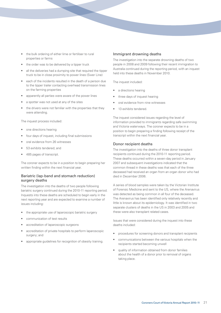- the bulk ordering of either lime or fertiliser to rural properties or farms
- the order was to be delivered by a tipper truck
- all the deliveries had a dumping site that required the tipper truck to be in close proximity to power lines (Swer Line)
- each of the incidents resulted in the death of a person due to the tipper trailer contacting overhead transmission lines on the farming properties
- apparently all parties were aware of the power lines
- a spotter was not used at any of the sites
- the drivers were not familiar with the properties that they were attending.

The inquest process included:

- one directions hearing
- four days of inquest, including final submissions
- oral evidence from 26 witnesses
- 53 exhibits tendered; and
- 485 pages of transcript.

The coroner expects to be in a position to begin preparing her written finding within the next financial year.

#### Bariatric (lap-band and stomach reduction) surgery deaths

The investigation into the deaths of two people following bariatric surgery continued during the 2010-11 reporting period. Inquests into these deaths are scheduled to begin early in the next reporting year and are expected to examine a number of issues including:

- the appropriate use of laparoscopic bariatric surgery
- communication of test results
- accreditation of laparoscopic surgeons
- accreditation of private hospitals to perform laparoscopic surgery; and
- appropriate guidelines for recognition of obesity training.

#### Immigrant drowning deaths

The investigation into the separate drowning deaths of two people in 2008 and 2009 following their recent immigration to Australia continued during the reporting period, with an inquest held into these deaths in November 2010.

The inquest included:

- a directions hearing
- three days of inquest hearing
- oral evidence from nine witnesses
- 13 exhibits tendered.

The inquest considered issues regarding the level of information provided to immigrants regarding safe swimming and Victoria waterways. The coroner expects to be in a position to begin preparing a finding following receipt of the transcript within the next financial year.

#### Donor recipient deaths

The investigation into the deaths of three donor transplant recipients continued during the 2010-11 reporting period. These deaths occurred within a seven-day period in January 2007 and subsequent investigations indicated that the common thread in these deaths was that each of the three deceased had received an organ from an organ donor who had died in December 2006.

A series of blood samples were taken by the Victorian Institute of Forensic Medicine and sent to the US, where the Arenavirus was detected as being common in all four of the deceased. The Arenavirus has been identified only relatively recently and little is known about its epidemiology. It was identified in two separate clusters of deaths in the US in 2003 and 2005 and these were also transplant related cases.

Issues that were considered during the inquest into these deaths included:

- procedures for screening donors and transplant recipients
- communications between the various hospitals when the recipients started becoming unwell
- quality of information obtained from donor families about the health of a donor prior to removal of organs taking place.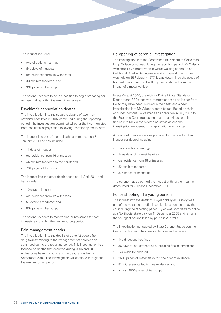The inquest included:

- two directions hearings
- five days of inquests
- oral evidence from 15 witnesses
- 33 exhibits tendered; and
- 991 pages of transcript.

The coroner expects to be in a position to begin preparing her written finding within the next financial year.

#### Psychiatric asphyxiation deaths

The investigation into the separate deaths of two men in psychiatric facilities in 2007 continued during the reporting period. The investigation examined whether the two men died from positional asphyxiation following restraint by facility staff.

The inquest into one of these deaths commenced on 31 January 2011 and has included:

- 11 days of inquest
- oral evidence from 16 witnesses
- 46 exhibits tendered to the court; and
- 791 pages of transcript.

The inquest into the other death began on 11 April 2011 and has included:

- 10 days of inquest
- oral evidence from 12 witnesses
- 51 exhibits tendered; and
- 697 pages of transcript.

The coroner expects to receive final submissions for both inquests early within the next reporting period.

#### Pain management deaths

The investigation into the deaths of up to 12 people from drug toxicity relating to the management of chronic pain continued during the reporting period. This investigation has focused on deaths that occurred during 2006 and 2010. A directions hearing into one of the deaths was held in September 2010. The investigation will continue throughout the next reporting period.

#### Re-opening of coronial investigation

The investigation into the September 1976 death of Colac man Hugh Wilson continued during the reporting period. Mr Wilson was struck by a motor vehicle whilst walking on the Colac-Gellibrand Road in Barongarook and an inquest into his death was held on 25 February 1977. It was determined the cause of his death was consistent with injuries sustained from the impact of a motor vehicle.

In late August 2006, the Victoria Police Ethical Standards Department (ESD) received information that a police car from Colac may have been involved in the death and a new investigation into Mr Wilson's death began. Based on their enquiries, Victoria Police made an application in July 2007 to the Supreme Court requesting that the previous coronial finding into Mr Wilson's death be set aside and the investigation re-opened. This application was granted.

A new brief of evidence was prepared for the court and an inquest conducted including:

- two directions hearings
- three days of inquest hearings
- oral evidence from 18 witnesses
- 52 exhibits tendered
- 376 pages of transcript.

The coroner has adjourned the inquest with further hearing dates listed for July and December 2011.

#### Police shooting of a young person

The inquest into the death of 15-year-old Tyler Cassidy was one of the most high-profile investigations conducted by the court during the reporting period. Tyler was shot dead by police at a Northcote skate park on 11 December 2008 and remains the youngest person killed by police in Australia.

The investigation conducted by State Coroner Judge Jennifer Coate into his death has been extensive and includes:

- five directions hearings
- 36 days of inquest hearings, including final submissions
- 124 exhibits tendered
- 3693 pages of materials within the brief of evidence
- 81 witnesses called to give evidence; and
- almost 4500 pages of transcript.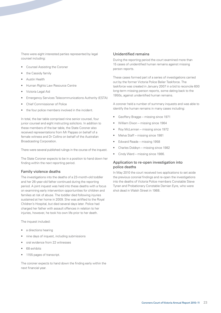There were eight interested parties represented by legal counsel including:

- Counsel Assisting the Coroner
- the Cassidy family
- Austin Health
- Human Rights Law Resource Centre
- Victoria Legal Aid
- Emergency Services Telecommunications Authority (ESTA)
- Chief Commissioner of Police
- the four police members involved in the incident.

In total, the bar table comprised nine senior counsel, four junior counsel and eight instructing solicitors. In addition to these members of the bar table, the State Coroner also received representations from Mr Pappas on behalf of a female witness and Dr Collins on behalf of the Australian Broadcasting Corporation.

There were several published rulings in the course of the inquest.

The State Coroner expects to be in a position to hand down her finding within the next reporting period.

#### Family violence deaths

The investigations into the deaths of a 23-month-old toddler and her 26-year-old father continued during the reporting period. A joint inquest was held into these deaths with a focus on examining early intervention opportunities for children and families at risk of abuse. The toddler died following injuries sustained at her home in 2009. She was airlifted to the Royal Children's Hospital, but died several days later. Police had charged her father with assault offences in relation to her injuries, however, he took his own life prior to her death.

The inquest included:

- a directions hearing
- nine days of inquest, including submissions
- oral evidence from 22 witnesses
- 68 exhibits
- 1155 pages of transcript.

The coroner expects to hand down the finding early within the next financial year.

#### Unidentified remains

During the reporting period the court examined more than 15 cases of unidentified human remains against missing person reports.

These cases formed part of a series of investigations carried out by the former Victoria Police Belier Taskforce. The taskforce was created in January 2007 in a bid to reconcile 600 long-term missing person reports, some dating back to the 1950s, against unidentified human remains.

A coroner held a number of summary inquests and was able to identify the human remains in many cases including:

- Geoffery Bragge missing since 1971
- William Dixon missing since 1964
- Roy McLennan missing since 1972
- Melva Staff missing since 1981
- Edward Reade missing 1958
- Charles Dobbyn missing since 1982
- Cindy Ward missing since 1986.

#### Application to re-open investigation into police deaths

In May 2010 the court received two applications to set aside the previous coronial findings and re-open the investigations into the deaths of Victoria Police members Constable Steve Tynan and Probationary Constable Damian Eyre, who were shot dead in Walsh Street in 1988.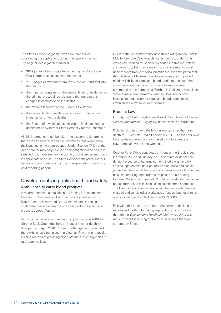The State Coroner began the extensive process of considering the applications during the reporting period. The original investigation produced :

- 3809 pages of transcripts from the original Magistrates' Court committal hearing into the deaths
- 2792 pages of transcript from the Supreme Court trial into the deaths
- the materials contained in the original briefs of evidence for the criminal proceedings relating to the four persons charged in connection to the deaths
- the exhibits tendered at the Supreme Court trial
- the original briefs of evidence compiled for the coronial investigations into the deaths
- the Record of Investigations (chambers findings) into the deaths made by former State Coroner Graeme Johnstone.

All this information must be taken into account to determine if there are any new facts and circumstances that would allow the investigation to be re-opened. Under Section 77 (3) of the Act a coroner may only re-open an investigation if he or she is satisfied that there are new facts and circumstances and that it is appropriate to do so. The State Coroner anticipates she will be in a position to make a ruling on the applications within the next reporting period.

## Developments in public health and safety

#### Ambulance to carry blood products

A recommendation contained in the finding into the death of Cobram mother Veronica Campbell has resulted in the Department of Health and Ambulance Victoria agreeing to implement a new system to improve urgent access to blood products across Victoria.

Veronica died from a ruptured ectopic pregnancy in 2008 and Coroner Stella Stuthridge held an inquest into her death in Shepparton in April 2010. Coroner Stuthridge recommended that Ambulance Victoria and the Victorian Government develop a viable method of providing blood products in emergencies in rural communities.

In late 2010, Ambulance Victoria installed refrigeration units in Mobile Intensive Care Ambulance Single Responder Units, which can be used for short-term periods to transport blood and blood supplies from a major hospital to a rural hospital upon request from a medical practitioner. It is anticipated that this initiative will broaden the statewide base for improved, rapid availability of blood and blood products to ensure there are appropriate mechanisms in place to support rural communities in emergencies. Further, in April 2011 Ambulance Victoria made arrangements with the Royal Melbourne Hospital to begin carrying blood and blood products on ambulance aircraft to incident scenes.

#### Brodie's Law

On 5 April 2011 Attorney-General Robert Clark introduced the new *Crimes Amendment (Bullying) Bill* into the Victorian Parliament.

Dubbed 'Brodie's Law', the bill was drafted after the tragic death of 19-year-old Brodie Panlock in 2006. She took her own life after being bullied and victimised by colleagues at a Hawthorn café where she worked.

Coroner Peter White conducted an inquest into Brodie's death in October 2007 and January 2008 and heard evidence that during the course of her employment Brodie was verbally abused, spat on, had beer poured over her head and fish oil poured into her bag. When she first attempted suicide, she was ridiculed for failing, then offered rat poison. In his finding Coroner White recommended WorkSafe investigate the named parties further and take such action as it deemed appropriate. The Hawthorn café owner, manager, chef and waiter were all charged and convicted of workplace offences, but not criminal offences, and were collectively fined \$337,000.

Following this outcome, the State Government decided the established method for taking legal action against bullying through the *Occupational Health and Safety Act 2004* was not sufficient for bullying that was as serious as the type suffered by Brodie.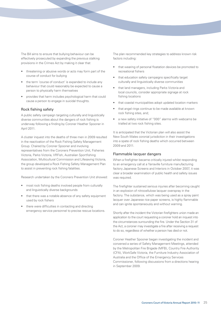The Bill aims to ensure that bullying behaviour can be effectively prosecuted by expanding the previous stalking provisions in the Crimes Act by making it clear that

- threatening or abusive words or acts may form part of the course of conduct for bullying
- the term 'course of conduct' is expanded to include any behaviour that could reasonably be expected to cause a person to physically harm themselves
- provides that harm includes psychological harm that could cause a person to engage in suicidal thoughts.

#### Rock fishing safety

A public safety campaign targeting culturally and linguistically diverse communities about the dangers of rock fishing is underway following a finding by Coroner Heather Spooner in April 2011.

A cluster inquest into the deaths of three men in 2009 resulted in the reactivation of the Rock Fishing Safety Management Group. Chaired by Coroner Spooner and involving representatives from the Coroners Prevention Unit, Fisheries Victoria, Parks Victoria, VRFish, Australian Sportfishing Association, Multicultural Commission and Lifesaving Victoria, the group developed a Rock Fishing Safety Management Plan to assist in preventing rock fishing fatalities.

Research undertaken by the Coroners Prevention Unit showed:

- most rock fishing deaths involved people from culturally and linguistically diverse backgrounds
- that there was a notable absence of any safety equipment used by rock fishers
- there were difficulties in contacting and directing emergency service personnel to precise rescue locations.

The plan recommended key strategies to address known risk factors including:

- that wearing of personal floatation devices be promoted to recreational fishers
- that education safety campaigns specifically target culturally and linguistically diverse communities
- that land managers, including Parks Victoria and local councils, consider appropriate signage at rock fishing locations
- that coastal municipalities adopt updated location markers
- that angel rings continue to be made available at known rock fishing sites, and;
- a new safety initiative of "000" alarms with webcams be trialled at two rock fishing sites.

It is anticipated that the Victorian plan will also assist the New South Wales coronial jurisdiction in their investigations into a spate of rock fishing deaths which occurred between 2009 and 2011.

#### Flammable lacquer dangers

When a firefighter became critically injured whilst responding to an emergency call at a Yarraville furniture manufacturing factory Japanese Screens and Interiors in October 2007, it was clear a broader examination of public health and safety issues was required.

The firefighter sustained serious injuries after becoming caught in an explosion of nitrocellulose lacquer overspray in the factory. The substance, which was being used as a spray paint lacquer over Japanese rice paper screens, is highly flammable and can ignite spontaneously and without warning.

Shortly after the incident the Victorian firefighters union made an application to the court requesting a coroner hold an inquest into the circumstances surrounding the fire. Under the Section 31 of the Act, a coroner may investigate a fire after receiving a request to do so, regardless of whether a person has died or not.

Coroner Heather Spooner began investigating the incident and convened a series of Safety Management Meetings, attended by the Metropolitan Fire Brigade (MFB), Country Fire Authority (CFA), WorkSafe Victoria, the Furniture Industry Association of Australia and the Office of the Emergency Services Commissioner, following discussions from a directions hearing in September 2009.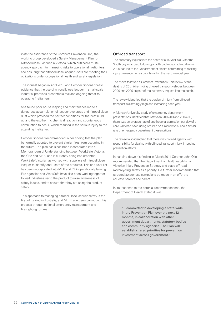With the assistance of the Coroners Prevention Unit, the working group developed a Safety Management Plan for Nitrocellulose Lacquer in Victoria, which outlined a multiagency approach to managing risks to operational firefighters, and ensuring that nitrocellulose lacquer users are meeting their obligations under occupational health and safety legislation.

The inquest began in April 2010 and Coroner Spooner heard evidence that the use of nitrocellulose lacquer in small-scale industrial premises presented a real and ongoing threat to operating firefighters.

She found poor housekeeping and maintenance led to a dangerous accumulation of lacquer overspray and nitrocellulose dust which provided the perfect conditions for the heat build up and the exothermic chemical reaction and spontaneous combustion to occur, which resulted in the serious injury to the attending firefighter.

Coroner Spooner recommended in her finding that the plan be formally adopted to prevent similar fires from occurring in the future. The plan has since been incorporated into a Memorandum of Understanding between WorkSafe Victoria, the CFA and MFB, and is currently being implemented. WorkSafe Victoria has worked with suppliers of nitrocellulose lacquer to identify end-users of the products. This end-user list has been incorporated into MFB and CFA operational planning. Fire agencies and WorkSafe have also been working together to visit industries using the product to raise awareness of safety issues, and to ensure that they are using the product safely.

This approach to managing nitrocellulose lacquer safety is the first of its kind in Australia, and MFB have been promoting this process through national emergency management and fire-fighting forums.

#### Off-road transport

The summary inquest into the death of a 14-year-old Gisborne South boy who died following an off-road motorcycle collision in 2009 has led to the Department of Health committing to making injury prevention a key priority within the next financial year.

The move followed a Coroners Prevention Unit review of the deaths of 20 children riding off-road transport vehicles between 2000 and 2009 as part of the summary inquest into the death.

The review identified that the burden of injury from off-road transport is alarmingly high and increasing each year.

A Monash University study of emergency department presentations identified that between 2002-03 and 2004-05 there was an average rate of one hospital admission per day of a child who had been riding off-road on a motorcycle, and a similar rate of emergency department presentations.

The review also identified that there was no lead agency with responsibility for dealing with off-road transport injury, impeding prevention efforts.

In handing down his finding in March 2011 Coroner John Olle recommended that the Department of Health establish a Victorian Injury Prevention Strategy and place off-road motorcycling safety as a priority. He further recommended that targeted awareness campaigns be made in an effort to educate parents and carers.

In its response to the coronial recommendations, the Department of Health stated it was:

> "…committed to developing a state-wide Injury Prevention Plan over the next 12 months, in collaboration with other government departments, statutory bodies and community agencies. The Plan will establish shared priorities for prevention investment across government."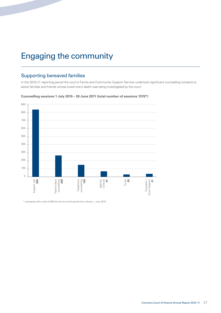## Engaging the community

## Supporting bereaved families

In the 2010-11 reporting period the court's Family and Community Support Service undertook significant counselling contacts to assist families and friends whose loved one's death was being investigated by the court.



#### **Counselling sessions 1 July 2010 – 30 June 2011 (total number of sessions 1370\*)**

\* compared with a total of 669 for the six-month period from January – June 2010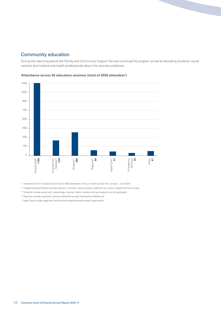## Community education

During the reporting period the Family and Community Support Service continued its program aimed at educating students, social workers and medical and health professionals about the coronial jurisdiction.



**Attendance across 40 education sessions (total of 2036 attendees† )**

 $^\mathrm{t}\,$  compared with 21 sessions and a total of 565 attendees in the six-month period from January - June 2010

\* Hospital General Medical includes doctors, clinicians, social workers, quality & risk, senior hospital staff and nurses

\* Students include social work, psychology, nursing, health, medical and law students not yet graduated

\* Regional includes education sessions delivered outside metropolitan Melbourne

\* Aged Care includes aged care facilities and hospital-based outreach aged carers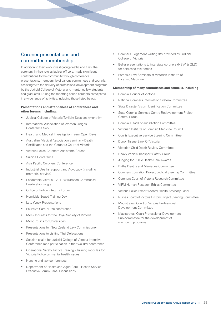## Coroner presentations and committee membership

In addition to their work investigating deaths and fires, the coroners, in their role as judicial officers, made significant contributions to the community through conference presentations, membership of various committees and councils, assisting with the delivery of professional development programs by the Judicial College of Victoria, and mentoring law students and graduates. During the reporting period coroners participated in a wide range of activities, including those listed below.

#### **Presentations and attendances at conferences and other forums including:**

- Judicial College of Victoria Twilight Sessions (monthly)
- International Association of Women Judges Conference Seoul
- Health and Medical Investigation Team Open Days
- Australian Medical Association Seminar Death Certificates and the Coroners Court of Victoria
- Victoria Police Coroners Assistants Course
- Suicide Conference
- Asia Pacific Coroners Conference
- Industrial Deaths Support and Advocacy (including memorial service)
- Leadership Victoria 2011 Williamson Community Leadership Program
- Office of Police Integrity Forum
- Homicide Squad Training Day
- Law Week Presentations
- Palliative Care Nurse conference
- Mock Inquests for the Royal Society of Victoria
- Moot Courts for Universities
- Presentations for New Zealand Law Commissioner
- Presentations to visiting Thai Delegations
- Session chairs for Judicial College of Victoria Intensive Conference (and participation in the two-day conference)
- Operational Safety Tactics Training Training modules for Victoria Police on mental health issues
- Nursing and law conferences
- Department of Health and Aged Care Health Service Executive Forum Panel Discussions
- Coroners judgement writing day provided by Judicial College of Victoria
- Belier presentations to interstate coroners (NSW & QLD) for cold case task forces
- Forensic Law Seminars at Victorian Institute of Forensic Medicine.

#### **Membership of many committees and councils, including:**

- Coronial Council of Victoria
- National Coroners Information System Committee
- State Disaster Victim Identification Committee
- State Coronial Services Centre Redevelopment Project Control Group
- Coronial Heads of Jurisdiction Committee
- Victorian Institute of Forensic Medicine Council
- Courts Executive Service Steering Committee
- Donor Tissue Bank Of Victoria
- Victorian Child Death Review Committee
- Heavy Vehicle Transport Safety Group
- Judging for Public Health Care Awards
- Births Deaths and Marriages Committee
- Coroners Education Project Judicial Steering Committee
- Coroners Court of Victoria Research Committee
- VIFM Human Research Ethics Committee
- Victoria Police Expert Mental Health Advisory Panel
- Nurses Board of Victoria History Project Steering Committee
- Magistrates' Court of Victoria Professional Development Committee
- Magistrates' Court Professional Development Sub-committee for the development of mentoring programs.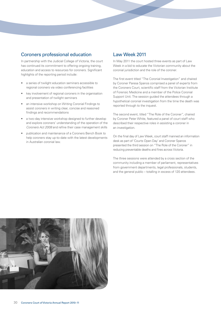## Coroners professional education

In partnership with the Judicial College of Victoria, the court has continued its commitment to offering ongoing training, education and access to resources for coroners. Significant highlights of the reporting period include:

- a series of twilight education seminars accessible to regional coroners via video conferencing facilities
- key involvement of regional coroners in the organisation and presentation of twilight seminars
- an intensive workshop on Writing Coronial Findings to assist coroners in writing clear, concise and reasoned findings and recommendations
- a two-day intensive workshop designed to further develop and explore coroners' understanding of the operation of the *Coroners Act 2008* and refine their case management skills
- publication and maintenance of a Coroners Bench Book to help coroners stay up-to-date with the latest developments in Australian coronial law.

## Law Week 2011

In May 2011 the court hosted three events as part of Law Week in a bid to educate the Victorian community about the coronial jurisdiction and the role of the coroner.

The first event titled "The Coronial Investigation" and chaired by Coroner Paresa Spanos comprised a panel of experts from the Coroners Court, scientific staff from the Victorian Institute of Forensic Medicine and a member of the Police Coronial Support Unit. The session guided the attendees through a hypothetical coronial investigation from the time the death was reported through to the inquest.

The second event, titled "The Role of the Coroner", chaired by Coroner Peter White, featured a panel of court staff who described their respective roles in assisting a coroner in an investigation.

On the final day of Law Week, court staff manned an information desk as part of 'Courts Open Day' and Coroner Spanos presented the third session on "The Role of the Coroner" in reducing preventable deaths and fires across Victoria.

The three sessions were attended by a cross section of the community including a member of parliament, representatives from government departments, legal professionals, students, and the general public – totalling in excess of 120 attendees.

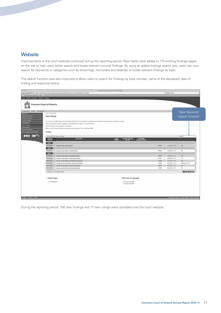## **Website**

Improvements to the court website continued during the reporting period. New fields were added to 170 existing findings pages on the site to help users better search and locate relevant coronial findings. By using an added findings search box, users can now search for keywords or categories such as drownings, homicides and fatalities to locate relevant findings by topic.

The search function was also improved to allow users to search for findings by case number, name of the deceased, date of finding and response status.

|                                     |                                                                 |                                                                                                                                                    | Earnest Court of Victoria / Cave Freenage |                 |                           |                    |
|-------------------------------------|-----------------------------------------------------------------|----------------------------------------------------------------------------------------------------------------------------------------------------|-------------------------------------------|-----------------|---------------------------|--------------------|
|                                     |                                                                 |                                                                                                                                                    |                                           |                 | & (CQ-Coup)               |                    |
| Edmont Doct of Hilbert / Circle     |                                                                 |                                                                                                                                                    |                                           |                 |                           |                    |
| no bis-ha Automore Linkerid Awhels  |                                                                 |                                                                                                                                                    |                                           |                 |                           |                    |
|                                     |                                                                 |                                                                                                                                                    |                                           |                 |                           |                    |
|                                     |                                                                 |                                                                                                                                                    |                                           |                 |                           |                    |
| <b>Coroners Court of Victoria</b>   |                                                                 |                                                                                                                                                    |                                           |                 |                           |                    |
|                                     |                                                                 |                                                                                                                                                    |                                           |                 |                           |                    |
| Publishers - Parso - Townishers     |                                                                 |                                                                                                                                                    |                                           |                 |                           |                    |
| <b>Hotel In</b>                     | Syne + Sak Frenge                                               |                                                                                                                                                    |                                           |                 |                           | New keyword        |
| <b>Telefy Educations</b>            | <b>Case Findings</b>                                            |                                                                                                                                                    |                                           |                 |                           | search function    |
| <b>Suite Pres</b>                   |                                                                 |                                                                                                                                                    |                                           |                 |                           |                    |
| <b>Chart Processor</b>              |                                                                 | The Develop AV 2008 requires that all topped finality with recommendations for published on the internet, unlose otherwise scienced for a content- |                                           |                 |                           |                    |
|                                     |                                                                 | Please conquise that it may be constiting to read details about a death in an inquired finding.                                                    |                                           |                 |                           |                    |
| <b>Cars Finance</b>                 |                                                                 | Some intermediate may be graphic or distribution).                                                                                                 |                                           |                 |                           |                    |
| <b>Care Bullery</b>                 |                                                                 | Balow is a fat of insural finitings and concerns recommendations from 1 Housevier 2008.                                                            |                                           |                 |                           |                    |
| <b>Build Mary</b>                   |                                                                 |                                                                                                                                                    |                                           |                 |                           |                    |
| <b>Court Locations and Contacts</b> | <b>Findings</b>                                                 |                                                                                                                                                    |                                           |                 |                           |                    |
| 888 mm <sup>-</sup> 1               |                                                                 | Since 1 28 12 Follings and send                                                                                                                    |                                           |                 |                           | <b>Baanik</b>      |
|                                     |                                                                 | <b>EARE NAME</b>                                                                                                                                   |                                           |                 |                           |                    |
|                                     | $\frac{\text{max of } \mathcal{L}}{\text{max of } \mathcal{L}}$ |                                                                                                                                                    | CASE PRODUCED<br><b>MESSING</b>           |                 |                           |                    |
|                                     | <b>REAL PRO</b>                                                 |                                                                                                                                                    |                                           |                 |                           |                    |
|                                     | <b>LITURIS</b>                                                  | <b>Stand IN TA LINE Willie</b>                                                                                                                     |                                           | $\frac{1}{2}$   | <b>Rumshee in Fall</b>    | <b>NH</b>          |
|                                     | <b>BETTER</b>                                                   |                                                                                                                                                    |                                           |                 |                           |                    |
|                                     | 16/022294                                                       | Insured into the Death of Brooks Pavincit                                                                                                          |                                           | <b>HISTORY</b>  | RubbleAd by Rub           | n.                 |
|                                     | <b>METODO</b>                                                   |                                                                                                                                                    |                                           |                 |                           |                    |
|                                     | LUXURUM                                                         | Interest this the Deam of Paul Meets Center.                                                                                                       |                                           | <b>ZIPIZINE</b> | <b>Pullstreet in Aut-</b> | NA.                |
|                                     | 20/06/3308                                                      | Sources who the Death of Leigh Bareh Direkto                                                                                                       |                                           | 372706          | Rubleted in Tall          | 168                |
|                                     | <b>PERSONAL</b>                                                 | lineard him the Smith of Christmated Stati Sincer                                                                                                  |                                           | <b>STERN</b>    | <b>Pulmahed In Pull</b>   | NA-                |
|                                     | salazzes                                                        | The masset site the death of Japonia Arm Petrey                                                                                                    |                                           | 110926          | Published in full         | Full/ahed in Puff. |
|                                     | 1010339                                                         | insuit in its leath of Jimani, San Base                                                                                                            |                                           | <b>LTakin</b>   | <b>Published in Ball</b>  | m.                 |
|                                     | <b>LESSION</b>                                                  | Insuns the the Dort; of Periods Catalogue                                                                                                          |                                           | 144,608         | <b>Puttsheet In Fall</b>  | n/a                |
|                                     |                                                                 |                                                                                                                                                    |                                           |                 |                           | $+00000$           |
|                                     |                                                                 | Wooning I in 10 of 204 from un                                                                                                                     |                                           |                 |                           |                    |
|                                     |                                                                 |                                                                                                                                                    |                                           |                 |                           |                    |
|                                     | . Halated Pages                                                 |                                                                                                                                                    | + Wals Links and Lagislation              |                 |                           |                    |
|                                     | · Josepherica                                                   |                                                                                                                                                    | · Commert Art 2016                        |                 |                           |                    |
|                                     |                                                                 |                                                                                                                                                    | · Groups Ad 2018                          |                 |                           |                    |
|                                     |                                                                 |                                                                                                                                                    |                                           |                 |                           |                    |
|                                     |                                                                 |                                                                                                                                                    |                                           |                 |                           |                    |
|                                     |                                                                 |                                                                                                                                                    |                                           |                 |                           |                    |
|                                     |                                                                 |                                                                                                                                                    |                                           |                 |                           |                    |
|                                     |                                                                 |                                                                                                                                                    |                                           |                 |                           |                    |

During the reporting period, 166 new findings and 17 new rulings were uploaded onto the court website.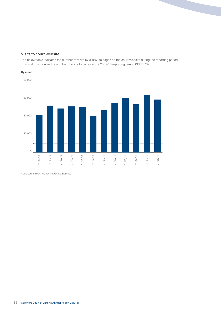#### Visits to court website

The below table indicates the number of visits (631,987) to pages on the court website during the reporting period. This is almost double the number of visits to pages in the 2009-10 reporting period (338,370).

#### **By month**



\* data collated from Nielson NetRatings Statistics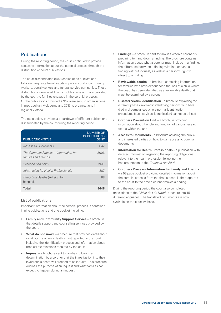## **Publications**

During the reporting period, the court continued to provide access to information about the coronial process through the distribution of court publications.

The court disseminated 8448 copies of its publications following requests from hospitals, police, courts, community workers, social workers and funeral service companies. These distributions were in addition to publications normally provided by the court to families engaged in the coronial process. Of the publications provided, 63% were sent to organisations in metropolitan Melbourne and 37% to organisations in regional Victoria.

The table below provides a breakdown of different publications disseminated by the court during the reporting period.

| <b>PUBLICATION TITLE</b>                                       | <b>NUMBER OF</b><br><b>PUBLICATIONS</b><br><b>SENT</b> |
|----------------------------------------------------------------|--------------------------------------------------------|
| <b>Access to Documents</b>                                     | 842                                                    |
| The Coroners Process – Information for<br>families and friends | 3006                                                   |
| What do I do now?                                              | 2411                                                   |
| Information for Health Professionals                           | 287                                                    |
| <i>Reporting Deaths</i> (A4 sign for<br>hospitals)             | 88                                                     |
| Total                                                          |                                                        |

#### **List of publications**

Important information about the coronial process is contained in nine publications and one booklet including:

- **Family and Community Support Service** a brochure that details support and counselling services provided by the court
- **What do I do now?** a brochure that provides detail about what occurs when a death is first reported to the court including the identification process and information about medical examinations required by the court
- **Inquest** a brochure sent to families following a determination by a coroner that the investigation into their loved one's death will proceed to an inquest. This brochure outlines the purpose of an inquest and what families can expect to happen during an inquest
- **Findings** a brochure sent to families when a coroner is preparing to hand down a finding. The brochure contains information about what a coroner must include in a finding, the difference between a finding with inquest and a finding without inquest, as well as a person's right to object to a finding
- **Reviewable deaths** a brochure containing information for families who have experienced the loss of a child where the death has been identified as a reviewable death that must be examined by a coroner
- **Disaster Victim Identification** a brochure explaining the different phases involved in identifying persons who have died in circumstances where normal identification procedures (such as visual identification) cannot be utilised
- **Coroners Prevention Unit** a brochure providing information about the role and function of various research teams within the unit
- **Access to Documents**  a brochure advising the public and interested parties on how to gain access to coronial documents
- **Information for Health Professionals** a publication with detailed information regarding the reporting obligations relevant to the health profession following the implementation of the *Coroners Act 2008*
- **Coroners Process Information for Family and Friends** – a 58 page booklet providing detailed information about the coronial process from the time a death is first reported to the court to the time a coroner makes a finding.

During the reporting period the court also completed translations of the *'What do I do Now?'* brochure into 15 different languages. The translated documents are now available on the court website.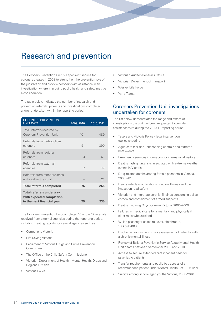## Research and prevention

The Coroners Prevention Unit is a specialist service for coroners created in 2008 to strengthen the prevention role of the jurisdiction and provide coroners with assistance in an investigation where improving public health and safety may be a consideration.

The table below indicates the number of research and prevention referrals, projects and investigations completed and/or undertaken within the reporting period.

| <b>CORONERS PREVENTION</b>                                                                |           |           |
|-------------------------------------------------------------------------------------------|-----------|-----------|
| <b>UNIT DATA</b>                                                                          | 2009/2010 | 2010/2011 |
| Total referrals received by<br><b>Coroners Prevention Unit</b>                            | 101       | 489       |
| Referrals from metropolitan<br>coroners                                                   | 91        | 390       |
| Referrals from regional<br>coroners                                                       | 3         | 61        |
| Referrals from external<br>agencies                                                       | 7         | 17        |
| Referrals from other business<br>units within the court                                   | $\sim$    | 21        |
| <b>Total referrals completed</b>                                                          | 76        | 265       |
| <b>Total referrals underway</b><br>with expected completion<br>in the next financial year | 29        | 235       |
|                                                                                           |           |           |

The Coroners Prevention Unit completed 10 of the 17 referrals received from external agencies during the reporting period, including creating reports for several agencies such as:

- Corrections Victoria
- **Life Saving Victoria**
- Parliament of Victoria Drugs and Crime Prevention Committee
- The Office of the Child Safety Commissioner
- Victorian Department of Health Mental Health, Drugs and Regions Division
- Victoria Police
- Victorian Auditor-General's Office
- Victorian Department of Transport
- Wesley Life Force
- Yarra Trams.

## Coroners Prevention Unit investigations undertaken for coroners

The list below demonstrates the range and extent of investigations the unit has been requested to provide assistance with during the 2010-11 reporting period.

- Tasers and Victoria Police legal intervention (police shooting)
- Aged care facilities absconding controls and extreme heat events
- Emergency services information for international visitors
- Deaths highlighting risks associated with extreme weather events in Victoria
- Drug-related deaths among female prisoners in Victoria, 2000-2010
- Heavy vehicle modifications, roadworthiness and the impact on road safety
- Victorian and interstate coronial findings concerning police cordon and containment of armed suspects
- Deaths involving Oxycodone in Victoria, 2000-2009
- Failures in medical care for a mentally and physically ill older male who suicided
- V/Line passenger coach roll-over, Heathmere, 16 April 2009
- Discharge planning and crisis assessment of patients with a chronic mental illness
- Review of Ballarat Psychiatric Service Acute Mental Health Unit deaths between September 2008 and 2010
- Access to secure extended care inpatient beds for psychiatric patients
- Transfer requirements and public bed access of a recommended patient under Mental Health Act 1986 (Vic)
- Suicide among school-aged youths Victoria, 2000-2010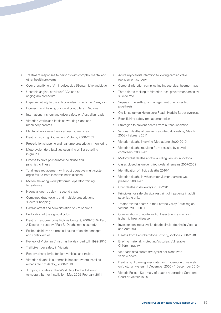- Treatment responses to persons with complex mental and other health problems
- Over prescribing of Aminoglycoside (Gentamicin) antibiotic
- Unstable angina, previous CAGs and an angiogram procedure
- Hypersensitivity to the anti convulsant medicine Phenytoin
- Licensing and training of crowd controllers in Victoria
- International visitors and driver safety on Australian roads
- Victorian workplace fatalities working alone and machinery hazards
- Electrical work near live overhead power lines
- Deaths involving Dothiepin in Victoria, 2000-2009
- Prescription shopping and real-time prescription monitoring
- Motorcycle riders fatalities occurring whilst travelling in groups
- Fitness to drive poly-substance abuse and psychiatric illness
- Total knee replacement with post operative multi-system organ failure from ischemic heart disease
- Mobile elevating work platforms: operator training for safe use
- Neonatal death, delay in second stage
- Combined drug toxicity and multiple prescriptions 'Doctor Shopping'
- Cardiac arrest and administration of Amiodarone
- Perforation of the sigmoid colon
- Deaths in a Corrections Victoria Context, 2000-2010 Part A Deaths in custody / Part B: Deaths not in custody
- Excited delirium as a medical cause of death: concepts and controversies
- Review of Victorian Christmas holiday road toll (1999-2010)
- Trail bike rider safety in Victoria
- Rear overhang limits for light vehicles and trailers
- Victorian deaths in automobile impacts where installed airbags did not deploy, 2000-2010
- Jumping suicides at the West Gate Bridge following temporary barrier installation, May 2009-February 2011
- Acute myocardial infarction following cardiac valve replacement surgery
- Cerebral infarction complicating intracerebral haemorrhage
- Three-tiered ranking of Victorian local government areas by suicide rate
- Sepsis in the setting of management of an infected prosthesis
- Cyclist safety on Heidelberg Road Hoddle Street overpass
- Rock fishing safety management plan
- Strategies to prevent deaths from butane inhalation
- Victorian deaths of people prescribed duloxetine, March 2008 - February 2011
- Victorian deaths involving Methadone, 2000-2010
- Victorian deaths resulting from assaults by crowd controllers, 2000-2010
- Motorcyclist deaths at official riding venues in Victoria
- Cases closed as unidentified skeletal remains 2007-2009
- Identification of filicide deaths 2010-11
- Victorian deaths in which methylamphetamine was present, 2008-2010
- Child deaths in driveways 2000-2011
- Principles for safe physical restraint of inpatients in adult psychiatric units
- Tractor-related deaths in the Latrobe Valley Court region, Victoria: 2000-2011
- Complications of acute aortic dissection in a man with ischemic heart disease
- Investigation into a cyclist death: similar deaths in Victoria and Australia
- Deaths from Pentobarbitone Toxicity, Victoria 2000-2010
- Briefing material: Protecting Victoria's Vulnerable Children Inquiry
- VicRoads data summary: cyclist collisions with vehicle doors
- Deaths by drowning associated with operation of vessels on Victorian waters (1 December 2005 - 1 December 2010)
- Victoria Police Summary of deaths reported to Coroners Court of Victoria in 2010.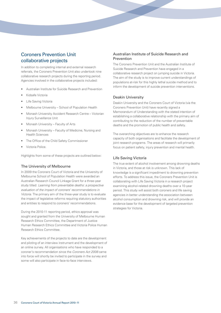## Coroners Prevention Unit collaborative projects

In addition to completing internal and external research referrals, the Coroners Prevention Unit also undertook nine collaborative research projects during the reporting period. Agencies involved in the collaborative projects included:

- Australian Institute for Suicide Research and Prevention
- Kidsafe Victoria
- **Life Saving Victoria**
- Melbourne University School of Population Health
- Monash University Accident Research Centre Victorian Injury Surveillance Unit
- Monash University Faculty of Arts
- Monash University Faculty of Medicine, Nursing and Health Sciences
- The Office of the Child Safety Commissioner
- Victoria Police.

Highlights from some of these projects are outlined below:

#### The University of Melbourne

In 2009 the Coroners Court of Victoria and the University of Melbourne School of Population Health were awarded an Australian Research Council Linkage Grant for a three-year study titled: *Learning from preventable deaths: a prospective evaluation of the impact of coroners' recommendations in Victoria.* The primary aim of the three-year study is to evaluate the impact of legislative reforms requiring statutory authorities and entities to respond to coroners' recommendations.

During the 2010-11 reporting period, ethics approval was sought and granted from the University of Melbourne Human Research Ethics Committee, the Department of Justice Human Research Ethics Committee and Victoria Police Human Research Ethics Committee.

Key achievements of the projects to date are the development and piloting of an interview instrument and the development of an online survey. All organisations who have responded to a coroner's recommendation since the *Coroners Act 2008* came into force will shortly be invited to participate in the survey and some will also participate in face-to-face interviews.

#### Australian Institute of Suicide Research and Prevention

The Coroners Prevention Unit and the Australian Institute of Suicide Research and Prevention have engaged in a collaborative research project on jumping suicide in Victoria. The aim of the study is to improve current understandings of populations at-risk for this highly lethal suicide method and to inform the development of suicide prevention interventions.

#### Deakin University

Deakin University and the Coroners Court of Victoria (via the Coroners Prevention Unit) have recently signed a Memorandum of Understanding with the stated intention of establishing a collaborative relationship with the primary aim of contributing to the reduction of the number of preventable deaths and the promotion of public health and safety.

The overarching objectives are to enhance the research capacity of both organisations and facilitate the development of joint research programs. The areas of research will primarily focus on patient safety, injury prevention and mental health.

#### Life Saving Victoria

The true extent of alcohol involvement among drowning deaths in Victoria, and those at risk is unknown. This lack of knowledge is a significant impediment to drowning prevention efforts. To address this issue, the Coroners Prevention Unit is collaborating with Life Saving Victoria in a research project examining alcohol-related drowning deaths over a 10-year period. This study will assist both coroners and life saving agencies in better understanding the association between alcohol consumption and drowning risk, and will provide an evidence base for the development of targeted prevention strategies for Victoria.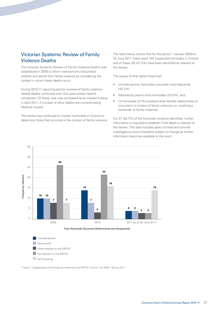## Victorian Systemic Review of Family Violence Deaths

The Victorian Systemic Review of Family Violence Deaths was established in 2009 to inform interventions that protect children and adults from family violence by considering the context in which these deaths occur.

During 2010-11 reporting period, reviews of family violencerelated deaths continued with nine case review reports completed. Of these, one was completed as an inquest finding in April 2011. A number of other deaths are currently being heard at inquest.

The review has continued to monitor homicides in Victoria to determine those that occurred in the context of family violence. The table below shows that for the period 1 January 2009 to 30 June 2011, there were 150 suspected homicides in Victoria and of these, 62 (41.3%) have been identified as relevant to the review.

The review further determined that:

- intimate partner homicides occurred most frequently (45.2%)
- followed by parent-child homicides (33.8%), and;
- 13 homicides (21%) involved other familial relationships or occurred in a context of family violence (i.e. involving a bystander to family violence).

For 37 (24.7%) of the homicide incidents identified, further information is required to establish if the death is relevant to the review. This data includes open criminal and coronial investigations and is therefore subject to change as further information becomes available to the court.



\* Figure 1: Categorisation of homicides by relevance to the SRFVD, Victoria 1 Jan 2009 – 30 June 2011

Still Enquiring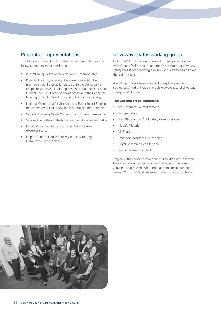### Prevention representations

The Coroners Prevention Unit also has representations in the following boards and committees:

- Australian Injury Prevention Network membership
- Deakin University several Coroners Prevention Unit members now have visitor status with the University, a couple have Clinical Lecturing positions and one is a Senior Clinical Lecturer. These positions are held in the School of Nursing, School of Medicine and School of Psychology.
- National Committee for Standardised Reporting of Suicide (convened by Suicide Prevention Australia) - membership
- Victorian Driveway Safety Working Committee membership
- Victoria Police Road Fatality Review Panel observer status
- Family Violence Interdepartmental Committee observer status
- Department of Justice Family Violence Steering Committee - membership.

### Driveway deaths working group

In April 2011, the Coroners Prevention Unit joined forces with Victoria Police and other agencies to promote driveway safety messages following a review of driveway deaths over the last 11 years.

A working group was established to explore a range of strategies aimed at increasing public awareness of driveway safety for Victorians.

#### **The working group comprises:**

- the Coroners Court of Victoria
- Victoria Police
- the Office of the Child Safety Commissioner
- Kidsafe Victoria
- VicRoads
- Transport Accident Commission
- Royal Children's Hospital; and
- the Department of Health.

Tragically, the review showed that 13 children had lost their lives in driveway-related fatalities in the period between January 2000 to April 2011 and that toddlers accounted for almost 70% of all fatal driveway incidents involving children.

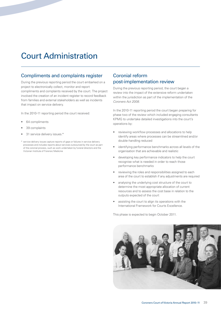## Court Administration

### Compliments and complaints register

During the previous reporting period the court embarked on a project to electronically collect, monitor and report compliments and complaints received by the court. The project involved the creation of an incident register to record feedback from families and external stakeholders as well as incidents that impact on service delivery.

In the 2010-11 reporting period the court received:

- 64 compliments
- 39 complaints
- 31 service delivery issues.\*
- \* service delivery issues capture reports of gaps or failures in service delivery processes and includes reports about services outsourced by the court as part of the coronial process, such as work undertaken by funeral directors and the Victorian Institute of Forensic Medicine

## Coronial reform post-implementation review

During the previous reporting period, the court began a review into the impact of the extensive reform undertaken within the jurisdiction as part of the implementation of the *Coroners Act 2008.* 

In the 2010-11 reporting period the court began preparing for phase two of the review which included engaging consultants KPMG to undertake detailed investigations into the court's operations by:

- reviewing workflow processes and allocations to help identify areas where processes can be streamlined and/or double-handling reduced
- identifying performance benchmarks across all levels of the organisation that are achievable and realistic
- developing key performance indicators to help the court recognise what is needed in order to reach those performance benchmarks
- reviewing the roles and responsibilities assigned to each area of the court to establish if any adjustments are required
- analysing the underlying cost structure of the court to determine the most appropriate allocation of current resources and to assess the cost base in relation to the outputs expected of the court
- assisting the court to align its operations with the International Framework for Courts Excellence.

This phase is expected to begin October 2011.

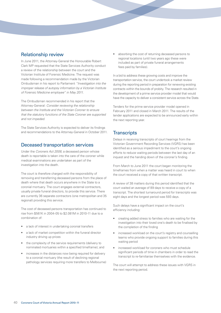## Relationship review

In June 2011, the Attorney-General the Honourable Robert Clark MP requested that the State Services Authority conduct a review of the relationship between the court and the Victorian Institute of Forensic Medicine. The request was made following a recommendation made by the Victorian Ombudsman in his report to Parliament *"Investigation into the improper release of autopsy information by a Victorian Institute of Forensic Medicine employee" in May 2011.*

The Ombudsman recommended in his report that the Attorney-General: *Consider reviewing the relationship between the Institute and the Victorian Coroner to ensure that the statutory functions of the State Coroner are supported and not impeded.*

The State Services Authority is expected to deliver its findings and recommendations to the Attorney-General in October 2011.

### Deceased transportation services

Under the *Coroners Act 2008,* a deceased person whose death is reportable is taken into the care of the coroner while medical examinations are undertaken as part of the investigation into the death.

The court is therefore charged with the responsibility of removing and transferring deceased persons from the place of death where that death occurs anywhere in the State to a coronial mortuary. The court engages external contractors, usually private funeral directors, to provide this service. There are currently 36 separate contractors (one metropolitan and 35 regional) providing this service.

The cost of deceased persons transportation has continued to rise from \$561K in 2004-05 to \$2.081M in 2010-11 due to a combination of:

- a lack of interest in undertaking coronial transfers
- a lack of market competition within the funeral director industry driving up prices
- the complexity of the service requirements (delivery to nominated mortuaries within a specified timeframe); and
- increases in the distances now being required for delivery to a coronial mortuary (the result of declining regional pathology services requiring more transfers to Melbourne)

absorbing the cost of returning deceased persons to regional locations (until two years ago these were included as part of private funeral arrangements fees paid by families).

In a bid to address these growing costs and improve the transportation service, the court undertook a market review during the reporting period in preparation for renewing existing contracts within the bounds of probity. The research resulted in the development of a prime service provider model that would have the capacity to deliver a consistent service across the State.

Tenders for the prime service provider model opened in February 2011 and closed in March 2011. The results of the tender applications are expected to be announced early within the next reporting year.

## **Transcripts**

Delays in receiving transcripts of court hearings from the Victorian Government Recording Services (VGRS) has been identified as a serious impediment to the court's ongoing efforts to reduce waiting periods between the last day of an inquest and the handing down of the coroner's finding.

From March to June 2011 the court began monitoring the timeframes from when a matter was heard in court to when the court received a copy of that written transcript.

A review of 38 matters during this period identified that the court waited an average of 89 days to receive a copy of a transcript. The shortest turnaround period for transcripts was eight days and the longest period was 593 days.

Such delays have a significant impact on the court's efficiency including:

- creating added stress to families who are waiting for the investigation into their loved one's death to be finalised by the completion of the finding
- increased workload on the court's registry and counselling teams who provide ongoing support to families during this waiting period
- increased workload for coroners who must schedule significant periods of time in chambers in order to read the transcript to re-familiarise themselves with the evidence.

The court will attempt to address these issues with VGRS in the next reporting period.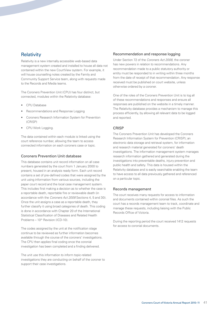## **Relativity**

Relativity is a new internally accessible web-based data management system created and installed to house all data not contained within the new CourtView system. For example, it will house counselling notes created by the Family and Community Support Service team, along with requests made to the Records and Media teams.

The Coroners Prevention Unit (CPU) has four distinct, but connected, modules within the Relativity database:

- CPU Database
- Recommendations and Response Logging
- Coroners Research Information System for Prevention (CRISP)
- CPU Work Logging.

The data contained within each module is linked using the court reference number, allowing the team to access connected information on each coroners case or topic.

#### Coroners Prevention Unit database

This database contains unit record information on all case numbers generated by the court from 1 January 2000 to present, housed in an analysis ready form. Each unit record contains a set of pre-defined codes that were assigned by the unit using information from various sources, including the paper court record and the local case management system. This includes first making a decision as to whether the case is a reportable death, reportable fire or reviewable death (in accordance with the *Coroners Act 2008* Sections 4, 5 and 30). Once the unit assigns a case as a reportable death, they further classify it using broad categories of death. This coding is done in accordance with Chapter 20 of the International Statistical Classification of Diseases and Related Health Problems – 10<sup>th</sup> Revision (ICD-10).

The codes assigned by the unit at the notification stage continue to be reviewed as further information becomes available through the course of the coroners' investigations. The CPU then applies final coding once the coronial investigation has been completed and a finding delivered.

The unit use this information to inform topic-related investigations they are conducting on behalf of the coroner to support their case investigations.

#### Recommendation and response logging

Under Section 72 of the *Coroners Act 2008,* the coroner has new powers in relation to recommendations. Any recommendation made to a public statutory authority or entity must be responded to in writing within three months from the date of receipt of that recommendation. Any response received must be published on court website, unless otherwise ordered by a coroner.

One of the roles of the Coroners Prevention Unit is to log all of these recommendations and responses and ensure all responses are published on the website in a timely manner. The Relativity database provides a mechanism to manage this process efficiently, by allowing all relevant data to be logged and reported.

#### **CRISP**

The Coroners Prevention Unit has developed the Coroners Research Information System for Prevention (CRISP); an electronic data storage and retrieval system, for information and research material generated for coroners' death investigations. The information management system manages research information gathered and generated during the investigations into preventable deaths, injury prevention and public health and safety. This data is housed within the Relativity database and is easily searchable enabling the team to have access to all data previously gathered and referenced on a particular topic.

#### Records management

The court receives many requests for access to information and documents contained within coronial files. As such the court has a records management team to track, coordinate and manage these requests, including liaising with the Public Records Office of Victoria.

During the reporting period the court received 1412 requests for access to coronial documents.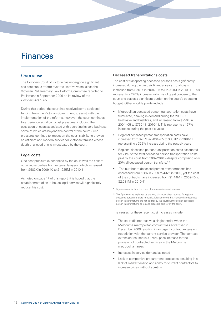## Finances

### **Overview**

The Coroners Court of Victoria has undergone significant and continuous reform over the last five years, since the Victorian Parliamentary Law Reform Committee reported to Parliament in September 2006 on its review of the *Coroners Act 1985.*

During this period, the court has received some additional funding from the Victorian Government to assist with the implementation of the reforms, however, the court continues to experience significant cost pressures, including the escalation of costs associated with operating its core business, some of which are beyond the control of the court. Such pressures continue to impact on the court's ability to provide an efficient and modern service for Victorian families whose death of a loved one is investigated by the court.

#### Legal costs

One cost pressure experienced by the court was the cost of obtaining expertise from external lawyers, which increased from \$583K in 2009-10 to \$1.225M in 2010-11.

As noted on page 17 of this report, it is hoped that the establishment of an in-house legal service will significantly reduce this cost.

#### Deceased transportations costs

The cost of transporting deceased persons has significantly increased during the past six financial years. Total costs increased from \$561K in 2004–05 to \$2.081M in 2010–11. This represents a 270% increase, which is of great concern to the court and places a significant burden on the court's operating budget. Other notable points include:

- Metropolitan deceased person transportation costs have fluctuated, peaking in demand during the 2008-09 heatwave and bushfires, and increasing from \$256K in 2004–05 to \$760K in 2010-11. This represents a 197% increase during the past six years
- Regional deceased person transportation costs have increased from \$207K in 2004–05 to \$887K\* in 2010-11, representing a 329% increase during the past six years
- Regional deceased person transportation costs accounted for 71% of the total deceased person transportation costs paid by the court from 2007-2010 – despite comprising only 20% all deceased person transfers.\*\*
- The number of deceased person transportations has decreased from 5286 in 2009 to 4325 in 2010, yet the cost of the contracts have increased from \$1.44M in 2009-10 to \$2.081M in 2010-11.

\* Figures do not include the costs of returning deceased persons.

\*\* This figure can be explained by the long distances often required for regional deceased person transfers removals. It is also noted that metropolitan deceased person transfer returns are not paid for by the court but the cost of deceased person transfer returns to regional areas are paid for by the court.

The causes for these recent cost increases include:

- The court did not receive a single tender when the Melbourne metropolitan contract was advertised in December 2009 resulting in an urgent contract extension negotiation with the current service provider. The contract extension resulted in a 150% price increase for the provision of contracted services in the Melbourne metropolitan areas
- Increases in service demand as noted
- Lack of competitive procurement processes, resulting in a lack of market tension and ability for current contractors to increase prices without scrutiny.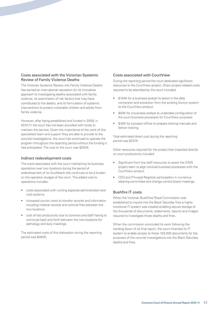#### Costs associated with the Victorian Systemic Review of Family Violence Deaths

The Victorian Systemic Review into Family Violence Deaths has earned an international reputation for its innovative approach to investigating deaths associated with family violence, its examination of risk factors that may have contributed to the deaths, and its formulation of systemic interventions to protect vulnerable children and adults from family violence.

However, after being established and funded in 2009, in 2010-11 the court has not been provided with funds to maintain the service. Given the importance of the work of this specialised team and support they are able to provide to the coronial investigations, the court has continued to operate the program throughout the reporting period without the funding it had anticipated. The cost to the court was \$250K.

#### Indirect redevelopment costs

The costs associated with the court maintaining its business operations over two locations during the period of redevelopment of its Southbank site continues to be a burden on the operation budget of the court. The added cost to operations includes:

- costs associated with running separate administration and mail systems
- increased courier costs to transfer records and information including medical records and coronial files between the two locations
- cost of lost productivity due to coroners and staff having to commute back and forth between the two locations for pathology and duty meetings.

The estimated costs of this dislocation during the reporting period was \$483K.

#### Costs associated with CourtView

During the reporting period the court dedicated significant resources to the CourtView project. Direct project-related costs required to be absorbed by the court included:

- \$104K for a business analyst to assist in the data conversion and extraction from the existing Suncor system to the CourtView product
- \$93K for a business analyst to undertake configuration of the court business processes for CourtView purposes
- \$40K for a project officer to prepare training manuals and deliver training.

Total estimated direct cost during the reporting period was \$237K

Other resources required for the project that impacted directly on court productivity included:

- Significant front line staff resources to assist the ICMS project team to align coronial business processes with the CourtView product
- CEO and Principal Registrar participation in numerous steering committee and change control board meetings.

#### **Bushfire IT costs**

When the Victorian Bushfires Royal Commission was established to inquire into the Black Saturday fires a highly functional IT system was created enabling secure storage of the thousands of documents, statements, reports and images required to investigate those deaths and fires.

When the commission concluded its work following the handing down of its final report, the court inherited its IT system to enable access to those 103,000 documents for the purposes of the coronial investigations into the Black Saturday deaths and fires.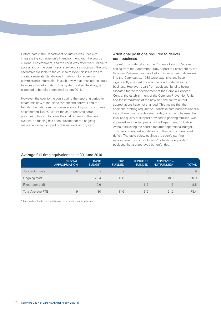Unfortunately, the Department of Justice was unable to integrate the commission's IT environment with the court's current IT environment, and the court was effectively unable to access any of the commission's evidentiary materials. The only alternative available to the court to resolve this issue was to create a separate stand-alone IT network to house the commission's information in such a way that enabled the court to access this information. This system, called Relativity, is expected to be fully operational by late 2011.

However, the cost to the court during the reporting period to create this new stand-alone system and network and to transfer the data from the commission's IT system into it was an estimated \$497K. Whilst the court received some preliminary funding to cover the cost of creating the new system, no funding has been provided for the ongoing maintenance and support of this network and system.

#### Additional positions required to deliver core business

The reforms undertaken at the Coroners Court of Victoria arising from the September 2006 Report to Parliament by the Victorian Parliamentary Law Reform Committee of its review into the *Coroners Act 1985* were extensive and have significantly changed the way the court undertakes its business. However, apart from additional funding being allocated for the redevelopment of the Coronial Services Centre, the establishment of the Coroners Prevention Unit, and the introduction of the new Act, the courts output appropriations have not changed. This means that the additional staffing required to undertake core business under a very different service delivery model, which emphasises the level and quality of support provided to grieving families, was approved and funded yearly by the Department of Justice without adjusting the court's recurrent operational budget. This has contributed significantly to the court's operational deficit. The table below outlines the court's staffing establishment, which includes 21.2 full-time equivalent positions that are approved but unfunded.

|                          | <b>SPECIAL</b><br><b>APPROPRIATION</b> | <b>BASE</b><br><b>BUDGET</b> | <b>ERC</b><br><b>FUNDED</b> | <b>BUSHFIRE</b><br><b>FUNDED</b> | APPROVED-<br>NOT FUNDED* | TOTAL |
|--------------------------|----------------------------------------|------------------------------|-----------------------------|----------------------------------|--------------------------|-------|
| Judicial Officers        | 9                                      | $\overline{\phantom{a}}$     | $\overline{\phantom{a}}$    | $\overline{\phantom{a}}$         | $\overline{\phantom{a}}$ | 9     |
| Ongoing staff            | $\sim$                                 | 29.4                         | 11.6                        | $\overline{\phantom{a}}$         | 19.9                     | 60.9  |
| Fixed-term staff         | $\overline{\phantom{a}}$               | 0.6                          | $\overline{\phantom{a}}$    | 6.6                              | 1.3                      | 8.5   |
| <b>Total Average FTE</b> | 9                                      | 30                           | 11.6                        | 6.6                              | 21.2                     | 78.4  |

#### Average full-time equivalent as at 30 June 2010

\* Approved not funded through the court's recurrent operational budget.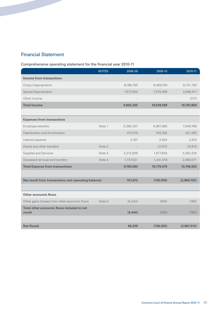## Financial Statement

Comprehensive operating statement for the financial year 2010-11

|                                                      | <b>NOTES</b> | 2008-09   | $2009 - 10$ | 2010-11     |
|------------------------------------------------------|--------------|-----------|-------------|-------------|
| <b>Income from transactions</b>                      |              |           |             |             |
| <b>Output Appropriation</b>                          |              | 8,188,700 | 8,469,100   | 8,731,700   |
| <b>Special Appropriation</b>                         |              | 1,673,555 | 1,570,498   | 2,056,417   |
| Other income                                         |              |           |             | (317)       |
| <b>Total Income</b>                                  |              | 9,862,255 | 10,039,598  | 10,787,800  |
|                                                      |              |           |             |             |
| <b>Expenses from transactions</b>                    |              |           |             |             |
| Employee benefits                                    | Note 1       | 5,395,337 | 6,907,580   | 7,948,768   |
| Depreciation and Amortisation                        |              | 410,219   | 418,255     | 421,405     |
| Interest expense                                     |              | 2,167     | 3,504       | 2,974       |
| Grants and other transfers                           | Note 2       |           | 27,572      | 32,610      |
| Supplies and Services                                | Note 3       | 2,215,838 | 1,977,645   | 3,262,224   |
| Deceased removal and transfers                       | Note 4       | 1,737,021 | 1,441,018   | 2,080,571   |
| <b>Total Expense from transactions</b>               |              | 9,760,583 | 10,775,574  | 13,748,552  |
|                                                      |              |           |             |             |
| Net result from transactions (net operating balance) |              | 101,672   | (735, 976)  | (2,960,752) |
|                                                      |              |           |             |             |
| <b>Other economic flows</b>                          |              |           |             |             |
| Other gains (losses) from other economic flows       | Note 5       | (5, 444)  | (550)       | (760)       |
| Total other economic flows included in net<br>result |              | (5, 444)  | (550)       | (760)       |
|                                                      |              |           |             |             |
| <b>Net Result</b>                                    |              | 96,229    | (736, 525)  | (2,961,512) |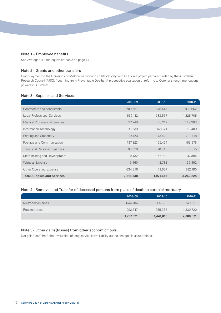#### Note 1 - Employee benefits

See Average full-time equivalent table on page 44.

#### Note 2 - Grants and other transfers

Grant Payment to the University of Melbourne working collaboratively with CPU on a project partially funded by the Australian Research Council (ARC): "Learning from Preventable Deaths: A prospective evaluation of reforms to Coroner's recommendations powers in Australia".

#### Note 3 - Supplies and Services

|                                      | 2008-09   | 2009-10   | 2010-11   |
|--------------------------------------|-----------|-----------|-----------|
| Contractors and consultants          | 209,557   | 676,447   | 838,662   |
| Legal Professional Services          | 660,112   | 583,567   | 1,225,705 |
| <b>Medical Professional Services</b> | 37,249    | 78,212    | 149,983   |
| Information Technology               | 93,239    | 148,121   | 163,409   |
| <b>Printing and Stationery</b>       | 335,123   | 143,420   | 201,418   |
| Postage and Communication            | 137,823   | 105,424   | 165,976   |
| <b>Travel and Personal Expenses</b>  | 63,926    | 70,046    | 51,015    |
| Staff Training and Development       | 25,132    | 57,989    | 47,384    |
| <b>Witness Expense</b>               | 19,460    | 42,782    | 36,492    |
| <b>Other Operating Expense</b>       | 634,216   | 71,637    | 382,180   |
| <b>Total Supplies and Services</b>   | 2,215,838 | 1,977,645 | 3,262,224 |

#### Note 4 - Removal and Transfer of deceased persons from place of death to coronial mortuary

|                    | 2008-09   | 2009-10   | 2010-11   |
|--------------------|-----------|-----------|-----------|
| Metropolitan areas | 644,704   | 385,683   | 749,851   |
| Regional areas     | 1,092,317 | 1,055,335 | 1,330,720 |
|                    | 1,737,021 | 1,441,018 | 2,080,571 |

#### Note 5 - Other gains(losses) from other economic flows

Net gain/(loss) from the revaluation of long service leave liability due to changes in assumptions.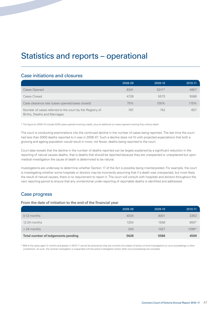## Statistics and reports – operational

## Case initiations and closures

|                                                                                          | 2008-09 | 2009-10 | 2010-11 |
|------------------------------------------------------------------------------------------|---------|---------|---------|
| Cases Opened                                                                             | 6341    | 5311*   | 4857    |
| Cases Closed                                                                             | 4728    | 5573    | 5586    |
| Case clearance rate (cases opened/cases closed)                                          | 75%     | 105%    | 115%    |
| Number of cases referred to the court by the Registry of<br>Births, Deaths and Marriages | 787     | 742     | 657     |

\* The figure for 2009-10 includes 5305 cases opened involving a death, plus an additional six cases opened involving fires without death.

The court is conducting examinations into the continued decline in the number of cases being reported. The last time the court had less than 5000 deaths reported to it was in 2006-07. Such a decline does not fit with projected expectations that both a growing and ageing population would result in more, not fewer, deaths being reported to the court.

Court data reveals that the decline in the number of deaths reported can be largely explained by a significant reduction in the reporting of natural causes deaths, that is deaths that should be reported because they are unexpected or unexplained but upon medical investigation the cause of death is determined to be natural.

Investigations are underway to determine whether Section 17 of the Act is possibly being misinterpreted. For example, the court is investigating whether some hospitals or doctors may be incorrectly assuming that if a death was unexpected, but most likely the result of natural causes, there is no requirement to report it. The court will consult with hospitals and doctors throughout the next reporting period to ensure that any unintentional under-reporting of reportable deaths is identified and addressed.

## Case progress

From the date of initiation to the end of the financial year

|                                           | 2008-09 | 2009-10 | 2010-11 |
|-------------------------------------------|---------|---------|---------|
| 0-12 months                               | 4034    | 3001    | 2263    |
| 12-24 months                              | 1254    | 1558    | $850*$  |
| $> 24$ months                             | 340     | 1027    | 1396*   |
| <b>Total number of lodgements pending</b> | 5628    | 5586    | 4509    |

\* 606 of the cases aged 12 months and greater in 2010-11 cannot be actioned as they are currently the subject of police criminal investigations or court proceedings in other jurisdictions. As such, the coronial investigation is suspended until the police investigation and/or other court proceedings are complete.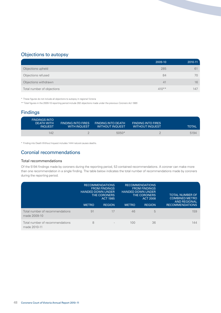## Objections to autopsy

|                            | 2009-10 | 2010-11 |
|----------------------------|---------|---------|
| Objections upheld          | 285     | 61      |
| Objections refused         | 84      | 70      |
| Objections withdrawn       | 41      | 16      |
| Total number of objections | $410**$ | 147     |

\* These figures do not include all objections to autopsy in regional Victoria

\*\* Total figures in the 2009-10 reporting period include 282 objections made under the previous *Coroners Act 1985* 

## Findings

| <b>FINDINGS INTO</b><br><b>DEATH WITH</b><br><b>INQUEST</b> | <b>FINDING INTO FIRES</b><br><b>WITH INQUEST</b> | <b>FINDING INTO DEATH</b><br>. WITHOUT INQUEST' | <b>FINDING INTO FIRES</b><br><b>WITHOUT INQUEST</b> | <b>TOTAL</b> |
|-------------------------------------------------------------|--------------------------------------------------|-------------------------------------------------|-----------------------------------------------------|--------------|
| 142                                                         |                                                  | $5050*$                                         |                                                     | 5194         |

\* Finding into Death Without Inquest includes 1444 natural causes deaths.

## Coronial recommendations

#### Total recommendations

Of the 5194 findings made by coroners during the reporting period, 53 contained recommendations. A coroner can make more than one recommendation in a single finding. The table below indicates the total number of recommendations made by coroners during the reporting period.

|                                                 | <b>RECOMMENDATIONS</b><br><b>FROM FINDINGS</b><br><b>HANDED DOWN UNDER</b><br><b>THE CORONERS</b><br><b>ACT 1985</b> |               | <b>RECOMMENDATIONS</b><br><b>FROM FINDINGS</b><br><b>HANDED DOWN UNDER</b><br>THE CORONERS<br><b>ACT 2008</b> |               | <b>TOTAL NUMBER OF</b><br><b>COMBINED METRO</b><br><b>AND REGIONAL</b> |
|-------------------------------------------------|----------------------------------------------------------------------------------------------------------------------|---------------|---------------------------------------------------------------------------------------------------------------|---------------|------------------------------------------------------------------------|
|                                                 | <b>METRO</b>                                                                                                         | <b>REGION</b> | <b>METRO</b>                                                                                                  | <b>REGION</b> | <b>RECOMMENDATIONS</b>                                                 |
| Total number of recommendations<br>made 2009-10 | 91                                                                                                                   | 17            | 46                                                                                                            | 5             | 159                                                                    |
| Total number of recommendations<br>made 2010-11 | 8                                                                                                                    |               | 100                                                                                                           | 36            | 144                                                                    |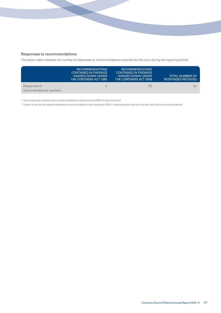#### Responses to recommendations

The below table indicates the number of responses to recommendations received by the court during the reporting period.

|                                          | <b>RECOMMENDATIONS</b><br>CONTAINED IN FINDINGS<br><b>HANDED DOWN UNDER</b><br>THE CORONERS ACT 1985 ' | <b>RECOMMENDATIONS</b><br><b>CONTAINED IN FINDINGS</b><br><b>HANDED DOWN UNDER</b><br>THE CORONERS ACT 2008 | <b>TOTAL NUMBER OF</b><br><b>RESPONSES RECEIVED</b> |
|------------------------------------------|--------------------------------------------------------------------------------------------------------|-------------------------------------------------------------------------------------------------------------|-----------------------------------------------------|
| Responses to<br>recommendations received |                                                                                                        | 50                                                                                                          | 52                                                  |

\* Some responses received relate to recommendations made during the 2009-10 reporting period

\* Figures do not include required responses to recommendations made during the 2010-11 reporting period that were not due within the same reporting period.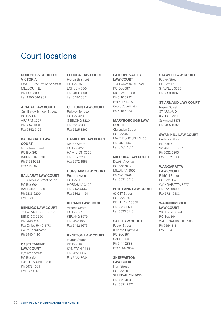## Court locations

#### **CORONERS COURT OF VICTORIA**

Level 11, 222 Exhibition Street MELBOURNE Ph 1300 309 519 Fax 1300 546 989

#### **ARARAT LAW COURT**

Cnr. Barkly & Ingor Streets PO Box 86 ARARAT 3377 Ph 5352 1081 Fax 5352 5172

#### **BAIRNSDALE LAW COURT**

Nicholson Street PO Box 367 BAIRNSDALE 3875 Ph 5152 9222 Fax 5152 9299

#### **BALLARAT LAW COURT**

100 Grenville Street South PO Box 604 BALLARAT 3350 Ph 5336 6200 Fax 5336 6213

#### **BENDIGO LAW COURT**

71 Pall Mall, PO Box 930 BENDIGO 3550 Ph 5440 4140 Fax Office 5440 4173 Court Coordinator: Ph 5440 4110

#### **CASTLEMAINE LAW COURT**

Lyttleton Street PO Box 92 CASTLEMAINE 3450 Ph 5472 1081 Fax 5470 5616

#### **ECHUCA LAW COURT**

Heygarth Street PO Box 76 ECHUCA 3564 Ph 5480 5800 Fax 5480 5801

#### **GEELONG LAW COURT**

Railway Terrace PO Box 428 GEELONG 3220 Ph 5225 3333 Fax 5225 3392

#### **HAMILTON LAW COURT**

Martin Street PO Box 422 HAMILTON 3300 Ph 5572 2288 Fax 5572 1653

#### **HORSHAM LAW COURT**

Roberts Avenue PO Box 111 HORSHAM 3400 Ph 5362 4444 Fax 5362 4454

#### **KERANG LAW COURT**

Victoria Street PO Box 77 KERANG 3579 Ph 5452 1050 Fax 5452 1673

#### **KYNETON LAW COURT**

Hutton Street PO Box 20 KYNETON 3444 Ph 5422 1832 Fax 5422 3634

#### **LATROBE VALLEY LAW COURT**

134 Commercial Road PO Box 687 MORWELL 3840 Ph 5116 5222 Fax 5116 5200 Court Coordinator: Ph 5116 5223

#### **MARYBOROUGH LAW COURT**

Clarendon Street PO Box 45 MARYBOROUGH 3465 Ph 5461 1046 Fax 5461 4014

#### **MILDURA LAW COURT**

Deakin Avenue PO Box 5014 MILDURA 3500 Ph 5021 6000 Fax 5021 6010

#### **PORTLAND LAW COURT**

67 Cliff Street PO Box 374 PORTLAND 3305 Ph 5523 1321 Fax 5523 6143

#### **SALE LAW COURT**

Foster Street (Princes Highway) PO Box 351 SALE 3850 Ph 5144 2888 Fax 5144 7954

#### **SHEPPARTON**

**LAW COURT** High Street PO Box 607 SHEPPARTON 3630 Ph 5821 4633 Fax 5821 2374

#### **STAWELL LAW COURT**

Patrick Street PO Box 179 STAWELL 3380 Ph 5358 1087

#### **ST ARNAUD LAW COURT**

Napier Street ST ARNAUD (C/- PO Box 17) St Arnaud 3478) Ph 5495 1092

#### **SWAN HILL LAW COURT**

Curlewis Street PO Box 512 SWAN HILL 3585 Ph 5032 0800 Fax 5032 0888

#### **WANGARATTA LAW COURT**

Faithfull Street PO Box 504 WANGARATTA 3677 Ph 5721 0900 Fax 5721 5483

## **WARRNAMBOOL**

**LAW COURT** 218 Koroit Street PO Box 244 WARRNAMBOOL 3280 Ph 5564 1111 Fax 5564 1100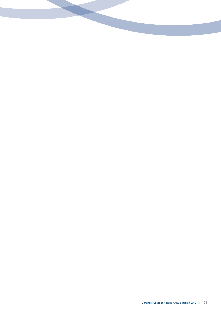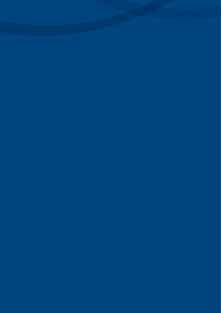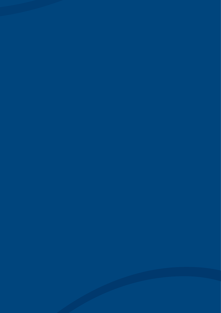